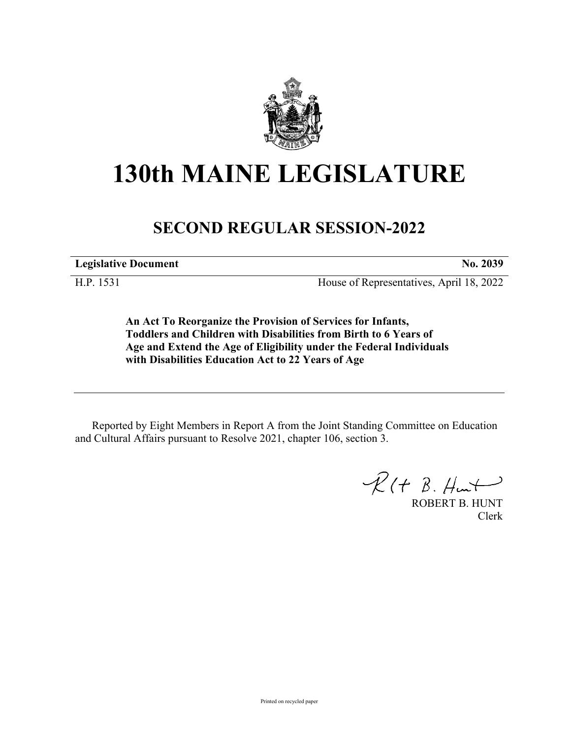

# **130th MAINE LEGISLATURE**

# **SECOND REGULAR SESSION-2022**

**Legislative Document No. 2039**

H.P. 1531 House of Representatives, April 18, 2022

**An Act To Reorganize the Provision of Services for Infants, Toddlers and Children with Disabilities from Birth to 6 Years of Age and Extend the Age of Eligibility under the Federal Individuals with Disabilities Education Act to 22 Years of Age**

Reported by Eight Members in Report A from the Joint Standing Committee on Education and Cultural Affairs pursuant to Resolve 2021, chapter 106, section 3.

 $R(H B. H<sub>un</sub>)$ 

ROBERT B. HUNT Clerk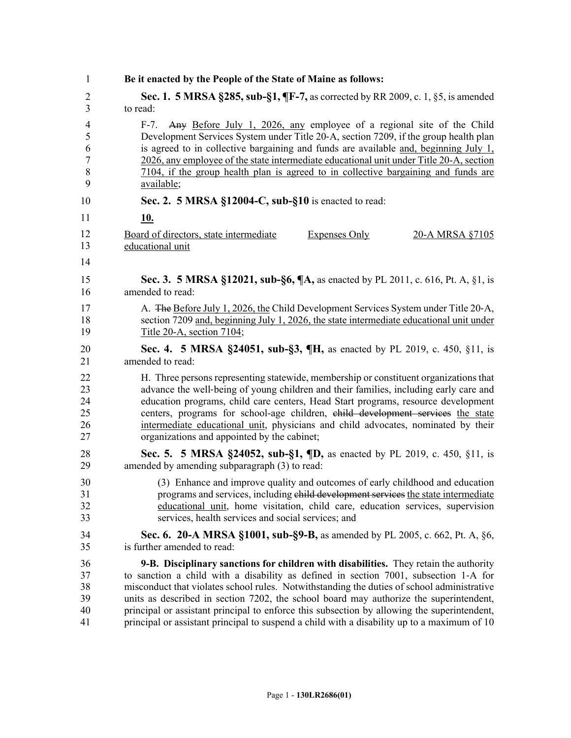| 1                                       | Be it enacted by the People of the State of Maine as follows:                                                                                                                                                                                                                                                                                                                                                                                                           |
|-----------------------------------------|-------------------------------------------------------------------------------------------------------------------------------------------------------------------------------------------------------------------------------------------------------------------------------------------------------------------------------------------------------------------------------------------------------------------------------------------------------------------------|
| $\overline{2}$                          | <b>Sec. 1. 5 MRSA §285, sub-§1, ¶F-7, as corrected by RR 2009, c. 1, §5, is amended</b>                                                                                                                                                                                                                                                                                                                                                                                 |
| 3                                       | to read:                                                                                                                                                                                                                                                                                                                                                                                                                                                                |
| $\overline{4}$<br>5<br>6<br>7<br>8<br>9 | Any Before July 1, 2026, any employee of a regional site of the Child<br>$F-7.$<br>Development Services System under Title 20-A, section 7209, if the group health plan<br>is agreed to in collective bargaining and funds are available $\frac{1}{2}$ beginning July 1,<br>2026, any employee of the state intermediate educational unit under Title 20-A, section<br>7104, if the group health plan is agreed to in collective bargaining and funds are<br>available; |
| 10                                      | Sec. 2. 5 MRSA §12004-C, sub-§10 is enacted to read:                                                                                                                                                                                                                                                                                                                                                                                                                    |
| 11                                      | <u>10.</u>                                                                                                                                                                                                                                                                                                                                                                                                                                                              |
| 12<br>13                                | <b>Expenses Only</b><br>Board of directors, state intermediate<br>20-A MRSA §7105<br>educational unit                                                                                                                                                                                                                                                                                                                                                                   |
| 14                                      |                                                                                                                                                                                                                                                                                                                                                                                                                                                                         |
| 15                                      | <b>Sec. 3. 5 MRSA §12021, sub-§6, ¶A, as enacted by PL 2011, c. 616, Pt. A, §1, is</b>                                                                                                                                                                                                                                                                                                                                                                                  |
| 16                                      | amended to read:                                                                                                                                                                                                                                                                                                                                                                                                                                                        |
| 17                                      | A. The Before July 1, 2026, the Child Development Services System under Title 20-A,                                                                                                                                                                                                                                                                                                                                                                                     |
| 18                                      | section 7209 and, beginning July 1, 2026, the state intermediate educational unit under                                                                                                                                                                                                                                                                                                                                                                                 |
| 19                                      | Title 20-A, section 7104;                                                                                                                                                                                                                                                                                                                                                                                                                                               |
| 20                                      | Sec. 4. 5 MRSA §24051, sub-§3, ¶H, as enacted by PL 2019, c. 450, §11, is                                                                                                                                                                                                                                                                                                                                                                                               |
| 21                                      | amended to read:                                                                                                                                                                                                                                                                                                                                                                                                                                                        |
| 22                                      | H. Three persons representing statewide, membership or constituent organizations that                                                                                                                                                                                                                                                                                                                                                                                   |
| 23                                      | advance the well-being of young children and their families, including early care and                                                                                                                                                                                                                                                                                                                                                                                   |
| 24                                      | education programs, child care centers, Head Start programs, resource development                                                                                                                                                                                                                                                                                                                                                                                       |
| 25                                      | centers, programs for school-age children, ehild development services the state                                                                                                                                                                                                                                                                                                                                                                                         |
| 26                                      | intermediate educational unit, physicians and child advocates, nominated by their                                                                                                                                                                                                                                                                                                                                                                                       |
| 27                                      | organizations and appointed by the cabinet;                                                                                                                                                                                                                                                                                                                                                                                                                             |
| 28                                      | <b>Sec. 5. 5 MRSA §24052, sub-§1, ¶D, as enacted by PL 2019, c. 450, §11, is</b>                                                                                                                                                                                                                                                                                                                                                                                        |
| 29                                      | amended by amending subparagraph (3) to read:                                                                                                                                                                                                                                                                                                                                                                                                                           |
| 30                                      | (3) Enhance and improve quality and outcomes of early childhood and education                                                                                                                                                                                                                                                                                                                                                                                           |
| 31                                      | programs and services, including child development services the state intermediate                                                                                                                                                                                                                                                                                                                                                                                      |
| 32                                      | educational unit, home visitation, child care, education services, supervision                                                                                                                                                                                                                                                                                                                                                                                          |
| 33                                      | services, health services and social services; and                                                                                                                                                                                                                                                                                                                                                                                                                      |
| 34                                      | <b>Sec. 6. 20-A MRSA §1001, sub-§9-B,</b> as amended by PL 2005, c. 662, Pt. A, §6,                                                                                                                                                                                                                                                                                                                                                                                     |
| 35                                      | is further amended to read:                                                                                                                                                                                                                                                                                                                                                                                                                                             |
| 36                                      | 9-B. Disciplinary sanctions for children with disabilities. They retain the authority                                                                                                                                                                                                                                                                                                                                                                                   |
| 37                                      | to sanction a child with a disability as defined in section 7001, subsection 1-A for                                                                                                                                                                                                                                                                                                                                                                                    |
| 38                                      | misconduct that violates school rules. Notwithstanding the duties of school administrative                                                                                                                                                                                                                                                                                                                                                                              |
| 39                                      | units as described in section 7202, the school board may authorize the superintendent,                                                                                                                                                                                                                                                                                                                                                                                  |
| 40                                      | principal or assistant principal to enforce this subsection by allowing the superintendent,                                                                                                                                                                                                                                                                                                                                                                             |
| 41                                      | principal or assistant principal to suspend a child with a disability up to a maximum of 10                                                                                                                                                                                                                                                                                                                                                                             |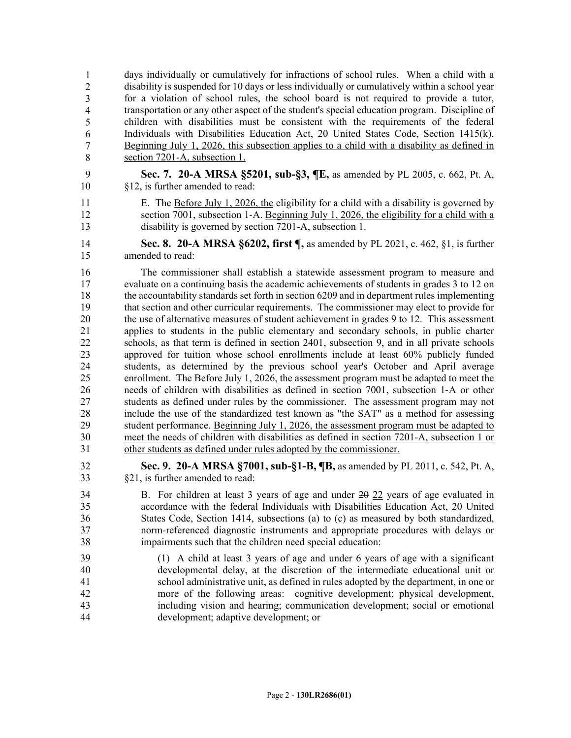days individually or cumulatively for infractions of school rules. When a child with a 43 disability is suspended for 10 days or less individually or cumulatively within a school year for a violation of school rules, the school board is not required to provide a tutor, 45 transportation or any other aspect of the student's special education program. Discipline of 46 children with disabilities must be consistent with the requirements of the federal Individuals with Disabilities Education Act, 20 United States Code, Section 1415(k). 48 Beginning July 1, 2026, this subsection applies to a child with a disability as defined in section 7201-A, subsection 1. 1 2 3 4 5 6 7 8

- 9 **Sec. 7. 20-A MRSA §5201, sub-§3, ¶E,** as amended by PL 2005, c. 662, Pt. A, 10 §12, is further amended to read:
- 11 E. The Before July 1, 2026, the eligibility for a child with a disability is governed by 12 section 7001, subsection 1-A. Beginning July 1, 2026, the eligibility for a child with a 13 disability is governed by section 7201-A, subsection 1.

14 **Sec. 8. 20-A MRSA §6202, first ¶,** as amended by PL 2021, c. 462, §1, is further 15 amended to read:

16 The commissioner shall establish a statewide assessment program to measure and 17 evaluate on a continuing basis the academic achievements of students in grades 3 to 12 on 18 the accountability standards set forth in section 6209 and in department rules implementing 19 that section and other curricular requirements. The commissioner may elect to provide for 20 the use of alternative measures of student achievement in grades 9 to 12. This assessment 21 applies to students in the public elementary and secondary schools, in public charter 22 schools, as that term is defined in section 2401, subsection 9, and in all private schools 23 approved for tuition whose school enrollments include at least 60% publicly funded 24 students, as determined by the previous school year's October and April average 25 enrollment. The Before July 1, 2026, the assessment program must be adapted to meet the 26 needs of children with disabilities as defined in section 7001, subsection 1‑A or other 27 students as defined under rules by the commissioner. The assessment program may not 28 include the use of the standardized test known as "the SAT" as a method for assessing 29 student performance. Beginning July 1, 2026, the assessment program must be adapted to 30 meet the needs of children with disabilities as defined in section 7201-A, subsection 1 or 31 other students as defined under rules adopted by the commissioner.

32 **Sec. 9. 20-A MRSA §7001, sub-§1-B, ¶B,** as amended by PL 2011, c. 542, Pt. A, 33 §21, is further amended to read:

- 34 B. For children at least 3 years of age and under 20 22 years of age evaluated in 35 accordance with the federal Individuals with Disabilities Education Act, 20 United 36 States Code, Section 1414, subsections (a) to (c) as measured by both standardized, 37 norm-referenced diagnostic instruments and appropriate procedures with delays or 38 impairments such that the children need special education:
- 39 (1) A child at least 3 years of age and under 6 years of age with a significant 40 developmental delay, at the discretion of the intermediate educational unit or 41 school administrative unit, as defined in rules adopted by the department, in one or 42 more of the following areas: cognitive development; physical development, 43 including vision and hearing; communication development; social or emotional 44 development; adaptive development; or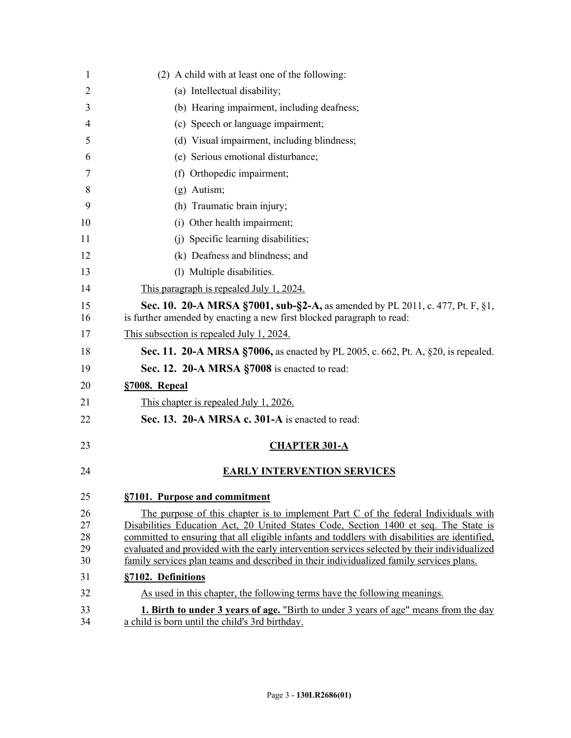| 1        | (2) A child with at least one of the following:                                                                                                                                        |
|----------|----------------------------------------------------------------------------------------------------------------------------------------------------------------------------------------|
| 2        | (a) Intellectual disability;                                                                                                                                                           |
| 3        | (b) Hearing impairment, including deafness;                                                                                                                                            |
| 4        | (c) Speech or language impairment;                                                                                                                                                     |
| 5        | (d) Visual impairment, including blindness;                                                                                                                                            |
| 6        | (e) Serious emotional disturbance;                                                                                                                                                     |
| 7        | (f) Orthopedic impairment;                                                                                                                                                             |
| 8        | $(g)$ Autism;                                                                                                                                                                          |
| 9        | (h) Traumatic brain injury;                                                                                                                                                            |
| 10       | (i) Other health impairment;                                                                                                                                                           |
| 11       | (j) Specific learning disabilities;                                                                                                                                                    |
| 12       | (k) Deafness and blindness; and                                                                                                                                                        |
| 13       | (1) Multiple disabilities.                                                                                                                                                             |
| 14       | This paragraph is repealed July 1, 2024.                                                                                                                                               |
| 15<br>16 | Sec. 10. 20-A MRSA §7001, sub-§2-A, as amended by PL 2011, c. 477, Pt. F, §1,<br>is further amended by enacting a new first blocked paragraph to read:                                 |
| 17       | This subsection is repealed July 1, 2024.                                                                                                                                              |
| 18       | <b>Sec. 11. 20-A MRSA §7006, as enacted by PL 2005, c. 662, Pt. A, §20, is repealed.</b>                                                                                               |
| 19       | Sec. 12. 20-A MRSA §7008 is enacted to read:                                                                                                                                           |
| 20       | §7008. Repeal                                                                                                                                                                          |
| 21       | This chapter is repealed July 1, 2026.                                                                                                                                                 |
| 22       | Sec. 13. 20-A MRSA c. 301-A is enacted to read:                                                                                                                                        |
| 23       | <b>CHAPTER 301-A</b>                                                                                                                                                                   |
| 24       | <b>EARLY INTERVENTION SERVICES</b>                                                                                                                                                     |
| 25       | §7101. Purpose and commitment                                                                                                                                                          |
| 26       | The purpose of this chapter is to implement Part C of the federal Individuals with                                                                                                     |
| 27<br>28 | Disabilities Education Act, 20 United States Code, Section 1400 et seq. The State is<br>committed to ensuring that all eligible infants and toddlers with disabilities are identified, |
| 29       | evaluated and provided with the early intervention services selected by their individualized                                                                                           |
| 30       | family services plan teams and described in their individualized family services plans.                                                                                                |
| 31       | §7102. Definitions                                                                                                                                                                     |
| 32       | As used in this chapter, the following terms have the following meanings.                                                                                                              |
| 33       | <b>1. Birth to under 3 years of age.</b> "Birth to under 3 years of age" means from the day                                                                                            |
| 34       | a child is born until the child's 3rd birthday.                                                                                                                                        |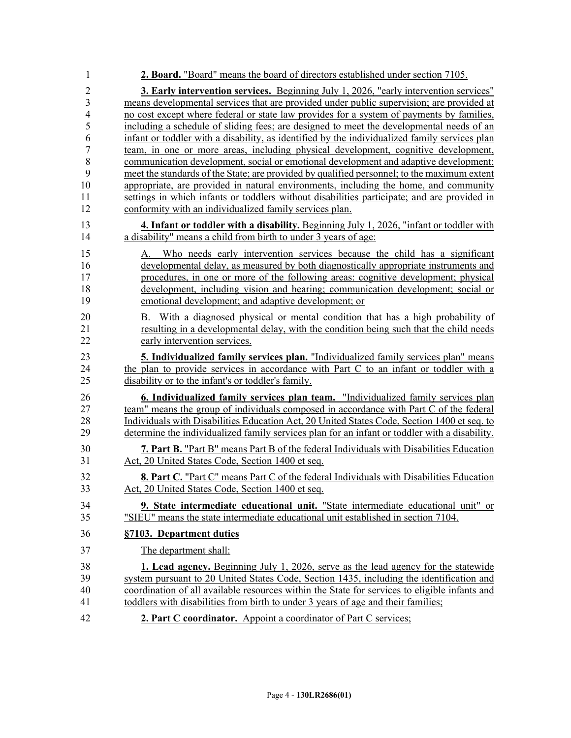| 1                   | 2. Board. "Board" means the board of directors established under section 7105.                                                                                                               |
|---------------------|----------------------------------------------------------------------------------------------------------------------------------------------------------------------------------------------|
| $\overline{2}$      | <b>3. Early intervention services.</b> Beginning July 1, 2026, "early intervention services"                                                                                                 |
| $\overline{3}$      | means developmental services that are provided under public supervision; are provided at                                                                                                     |
| $\overline{4}$      | no cost except where federal or state law provides for a system of payments by families,                                                                                                     |
| 5                   | including a schedule of sliding fees; are designed to meet the developmental needs of an                                                                                                     |
| 6                   | infant or toddler with a disability, as identified by the individualized family services plan                                                                                                |
| $\overline{7}$<br>8 | team, in one or more areas, including physical development, cognitive development,<br>communication development, social or emotional development and adaptive development;                   |
| 9                   | meet the standards of the State; are provided by qualified personnel; to the maximum extent                                                                                                  |
| 10                  | appropriate, are provided in natural environments, including the home, and community                                                                                                         |
| 11                  | settings in which infants or toddlers without disabilities participate; and are provided in                                                                                                  |
| 12                  | conformity with an individualized family services plan.                                                                                                                                      |
| 13<br>14            | 4. Infant or toddler with a disability. Beginning July 1, 2026, "infant or toddler with<br>a disability" means a child from birth to under 3 years of age:                                   |
| 15                  |                                                                                                                                                                                              |
| 16                  | Who needs early intervention services because the child has a significant<br>А.<br>developmental delay, as measured by both diagnostically appropriate instruments and                       |
| 17                  | procedures, in one or more of the following areas: cognitive development; physical                                                                                                           |
| 18                  | development, including vision and hearing; communication development; social or                                                                                                              |
| 19                  | emotional development; and adaptive development; or                                                                                                                                          |
| 20                  | B. With a diagnosed physical or mental condition that has a high probability of                                                                                                              |
| 21                  | resulting in a developmental delay, with the condition being such that the child needs                                                                                                       |
| 22                  | early intervention services.                                                                                                                                                                 |
| 23                  | 5. Individualized family services plan. "Individualized family services plan" means                                                                                                          |
| 24                  | the plan to provide services in accordance with Part C to an infant or toddler with a                                                                                                        |
| 25                  | disability or to the infant's or toddler's family.                                                                                                                                           |
| 26                  | 6. Individualized family services plan team. "Individualized family services plan                                                                                                            |
| 27                  | team" means the group of individuals composed in accordance with Part C of the federal                                                                                                       |
| 28<br>29            | Individuals with Disabilities Education Act, 20 United States Code, Section 1400 et seq. to<br>determine the individualized family services plan for an infant or toddler with a disability. |
| 30                  | 7. Part B. "Part B" means Part B of the federal Individuals with Disabilities Education                                                                                                      |
| 31                  | Act, 20 United States Code, Section 1400 et seq.                                                                                                                                             |
| 32                  | 8. Part C. "Part C" means Part C of the federal Individuals with Disabilities Education                                                                                                      |
| 33                  | Act, 20 United States Code, Section 1400 et seq.                                                                                                                                             |
| 34                  | 9. State intermediate educational unit. "State intermediate educational unit" or                                                                                                             |
| 35                  | "SIEU" means the state intermediate educational unit established in section 7104.                                                                                                            |
| 36                  | §7103. Department duties                                                                                                                                                                     |
| 37                  | The department shall:                                                                                                                                                                        |
| 38                  | <b>1. Lead agency.</b> Beginning July 1, 2026, serve as the lead agency for the statewide                                                                                                    |
| 39                  | system pursuant to 20 United States Code, Section 1435, including the identification and                                                                                                     |
| 40<br>41            | coordination of all available resources within the State for services to eligible infants and<br>toddlers with disabilities from birth to under 3 years of age and their families;           |
|                     |                                                                                                                                                                                              |
| 42                  | 2. Part C coordinator. Appoint a coordinator of Part C services;                                                                                                                             |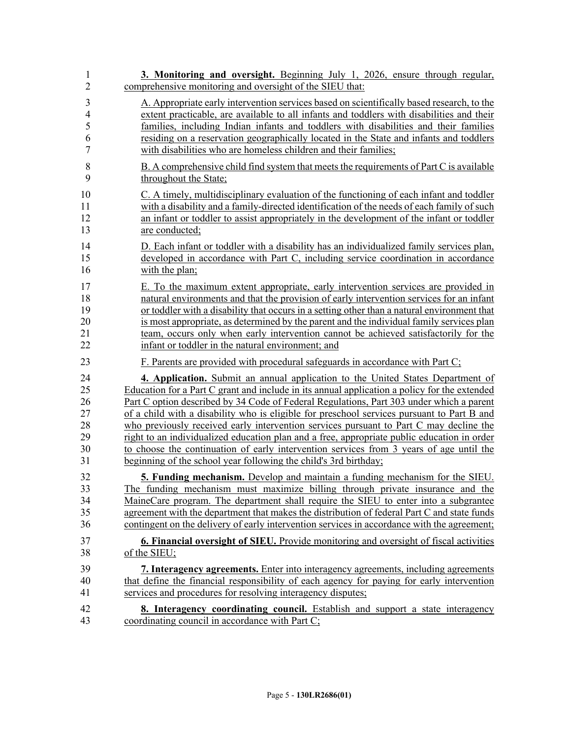| $\mathbf{1}$   | 3. Monitoring and oversight. Beginning July 1, 2026, ensure through regular,                 |
|----------------|----------------------------------------------------------------------------------------------|
| $\overline{2}$ | comprehensive monitoring and oversight of the SIEU that:                                     |
| $\mathfrak{Z}$ | A. Appropriate early intervention services based on scientifically based research, to the    |
| $\overline{4}$ | extent practicable, are available to all infants and toddlers with disabilities and their    |
| 5              | families, including Indian infants and toddlers with disabilities and their families         |
| 6              | residing on a reservation geographically located in the State and infants and toddlers       |
| $\overline{7}$ | with disabilities who are homeless children and their families;                              |
| 8              | B. A comprehensive child find system that meets the requirements of Part C is available      |
| 9              | throughout the State;                                                                        |
| 10             | C. A timely, multidisciplinary evaluation of the functioning of each infant and toddler      |
| 11             | with a disability and a family-directed identification of the needs of each family of such   |
| 12             | an infant or toddler to assist appropriately in the development of the infant or toddler     |
| 13             | are conducted;                                                                               |
| 14             | D. Each infant or toddler with a disability has an individualized family services plan,      |
| 15             | developed in accordance with Part C, including service coordination in accordance            |
| 16             | with the plan;                                                                               |
| 17             | E. To the maximum extent appropriate, early intervention services are provided in            |
| 18             | natural environments and that the provision of early intervention services for an infant     |
| 19             | or toddler with a disability that occurs in a setting other than a natural environment that  |
| 20             | is most appropriate, as determined by the parent and the individual family services plan     |
| 21             | team, occurs only when early intervention cannot be achieved satisfactorily for the          |
| 22             | infant or toddler in the natural environment; and                                            |
| 23             | F. Parents are provided with procedural safeguards in accordance with Part C;                |
| 24             | 4. Application. Submit an annual application to the United States Department of              |
| 25             | Education for a Part C grant and include in its annual application a policy for the extended |
| 26             | Part C option described by 34 Code of Federal Regulations, Part 303 under which a parent     |
| 27             | of a child with a disability who is eligible for preschool services pursuant to Part B and   |
| 28             | who previously received early intervention services pursuant to Part C may decline the       |
| 29             | right to an individualized education plan and a free, appropriate public education in order  |
| 30             | to choose the continuation of early intervention services from 3 years of age until the      |
| 31             | beginning of the school year following the child's 3rd birthday;                             |
| 32             | 5. Funding mechanism. Develop and maintain a funding mechanism for the SIEU.                 |
| 33             | The funding mechanism must maximize billing through private insurance and the                |
| 34             | MaineCare program. The department shall require the SIEU to enter into a subgrantee          |
| 35             | agreement with the department that makes the distribution of federal Part C and state funds  |
| 36             | contingent on the delivery of early intervention services in accordance with the agreement;  |
| 37             | <b>6. Financial oversight of SIEU.</b> Provide monitoring and oversight of fiscal activities |
| 38             | of the SIEU;                                                                                 |
| 39             | 7. Interagency agreements. Enter into interagency agreements, including agreements           |
| 40             | that define the financial responsibility of each agency for paying for early intervention    |
| 41             | services and procedures for resolving interagency disputes;                                  |
| 42             | <b>8. Interagency coordinating council.</b> Establish and support a state interagency        |
| 43             | coordinating council in accordance with Part C;                                              |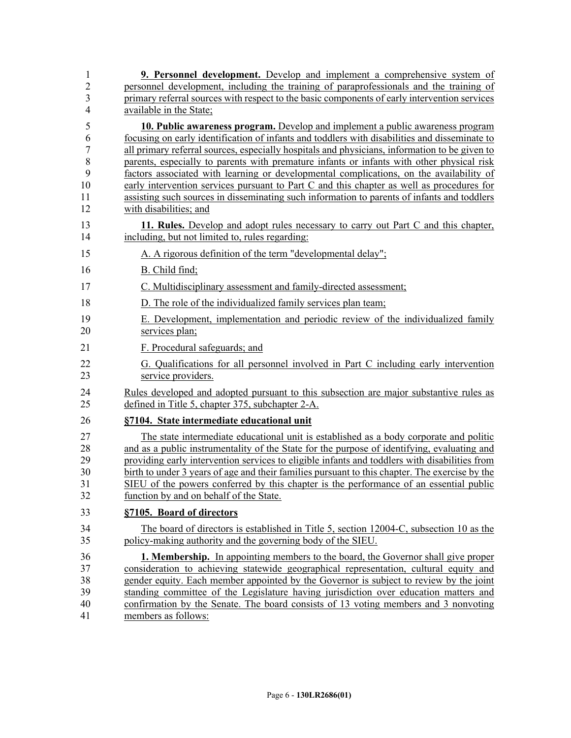| 1              | <b>9. Personnel development.</b> Develop and implement a comprehensive system of               |
|----------------|------------------------------------------------------------------------------------------------|
| $\overline{2}$ | personnel development, including the training of paraprofessionals and the training of         |
| 3              | primary referral sources with respect to the basic components of early intervention services   |
| $\overline{4}$ | available in the State;                                                                        |
| 5              | <b>10. Public awareness program.</b> Develop and implement a public awareness program          |
| 6              | focusing on early identification of infants and toddlers with disabilities and disseminate to  |
| $\overline{7}$ | all primary referral sources, especially hospitals and physicians, information to be given to  |
| 8              | parents, especially to parents with premature infants or infants with other physical risk      |
| 9              | factors associated with learning or developmental complications, on the availability of        |
| 10             | early intervention services pursuant to Part C and this chapter as well as procedures for      |
| 11             | assisting such sources in disseminating such information to parents of infants and toddlers    |
| 12             | with disabilities; and                                                                         |
| 13             | 11. Rules. Develop and adopt rules necessary to carry out Part C and this chapter,             |
| 14             | including, but not limited to, rules regarding:                                                |
| 15             | A. A rigorous definition of the term "developmental delay";                                    |
| 16             | B. Child find;                                                                                 |
| 17             | C. Multidisciplinary assessment and family-directed assessment;                                |
| 18             | D. The role of the individualized family services plan team;                                   |
| 19             | E. Development, implementation and periodic review of the individualized family                |
| 20             | services plan;                                                                                 |
| 21             | F. Procedural safeguards; and                                                                  |
| 22             | G. Qualifications for all personnel involved in Part C including early intervention            |
| 23             | service providers.                                                                             |
| 24             | Rules developed and adopted pursuant to this subsection are major substantive rules as         |
| 25             | defined in Title 5, chapter 375, subchapter 2-A.                                               |
| 26             | §7104. State intermediate educational unit                                                     |
| 27             | The state intermediate educational unit is established as a body corporate and politic         |
| 28             | and as a public instrumentality of the State for the purpose of identifying, evaluating and    |
| 29             | providing early intervention services to eligible infants and toddlers with disabilities from  |
| 30             | birth to under 3 years of age and their families pursuant to this chapter. The exercise by the |
| 31             | SIEU of the powers conferred by this chapter is the performance of an essential public         |
| 32             | function by and on behalf of the State.                                                        |
| 33             | §7105. Board of directors                                                                      |
| 34             | The board of directors is established in Title 5, section 12004-C, subsection 10 as the        |
| 35             | policy-making authority and the governing body of the SIEU.                                    |
| 36             | <b>1. Membership.</b> In appointing members to the board, the Governor shall give proper       |
| 37             | consideration to achieving statewide geographical representation, cultural equity and          |
| 38             | gender equity. Each member appointed by the Governor is subject to review by the joint         |
| 39             | standing committee of the Legislature having jurisdiction over education matters and           |
| 40             | confirmation by the Senate. The board consists of 13 voting members and 3 nonvoting            |
| 41             | members as follows:                                                                            |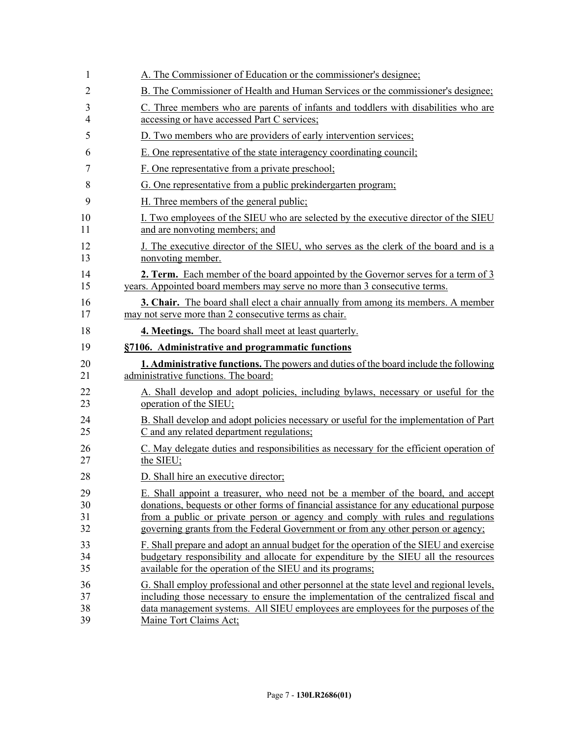| 1  | A. The Commissioner of Education or the commissioner's designee;                             |
|----|----------------------------------------------------------------------------------------------|
| 2  | B. The Commissioner of Health and Human Services or the commissioner's designee;             |
| 3  | C. Three members who are parents of infants and toddlers with disabilities who are           |
| 4  | accessing or have accessed Part C services;                                                  |
| 5  | D. Two members who are providers of early intervention services;                             |
| 6  | E. One representative of the state interagency coordinating council;                         |
| 7  | F. One representative from a private preschool;                                              |
| 8  | G. One representative from a public prekindergarten program;                                 |
| 9  | H. Three members of the general public;                                                      |
| 10 | I. Two employees of the SIEU who are selected by the executive director of the SIEU          |
| 11 | and are nonvoting members; and                                                               |
| 12 | J. The executive director of the SIEU, who serves as the clerk of the board and is a         |
| 13 | nonvoting member.                                                                            |
| 14 | <b>2. Term.</b> Each member of the board appointed by the Governor serves for a term of 3    |
| 15 | years. Appointed board members may serve no more than 3 consecutive terms.                   |
| 16 | <b>3. Chair.</b> The board shall elect a chair annually from among its members. A member     |
| 17 | may not serve more than 2 consecutive terms as chair.                                        |
| 18 | <b>4. Meetings.</b> The board shall meet at least quarterly.                                 |
| 19 | §7106. Administrative and programmatic functions                                             |
| 20 | <b>1. Administrative functions.</b> The powers and duties of the board include the following |
| 21 | administrative functions. The board:                                                         |
| 22 | A. Shall develop and adopt policies, including bylaws, necessary or useful for the           |
| 23 | operation of the SIEU;                                                                       |
| 24 | B. Shall develop and adopt policies necessary or useful for the implementation of Part       |
| 25 | C and any related department regulations;                                                    |
| 26 | C. May delegate duties and responsibilities as necessary for the efficient operation of      |
| 27 | the SIEU;                                                                                    |
| 28 | D. Shall hire an executive director;                                                         |
| 29 | E. Shall appoint a treasurer, who need not be a member of the board, and accept              |
| 30 | donations, bequests or other forms of financial assistance for any educational purpose       |
| 31 | from a public or private person or agency and comply with rules and regulations              |
| 32 | governing grants from the Federal Government or from any other person or agency;             |
| 33 | F. Shall prepare and adopt an annual budget for the operation of the SIEU and exercise       |
| 34 | budgetary responsibility and allocate for expenditure by the SIEU all the resources          |
| 35 | available for the operation of the SIEU and its programs;                                    |
| 36 | G. Shall employ professional and other personnel at the state level and regional levels,     |
| 37 | including those necessary to ensure the implementation of the centralized fiscal and         |
| 38 | data management systems. All SIEU employees are employees for the purposes of the            |
| 39 | Maine Tort Claims Act;                                                                       |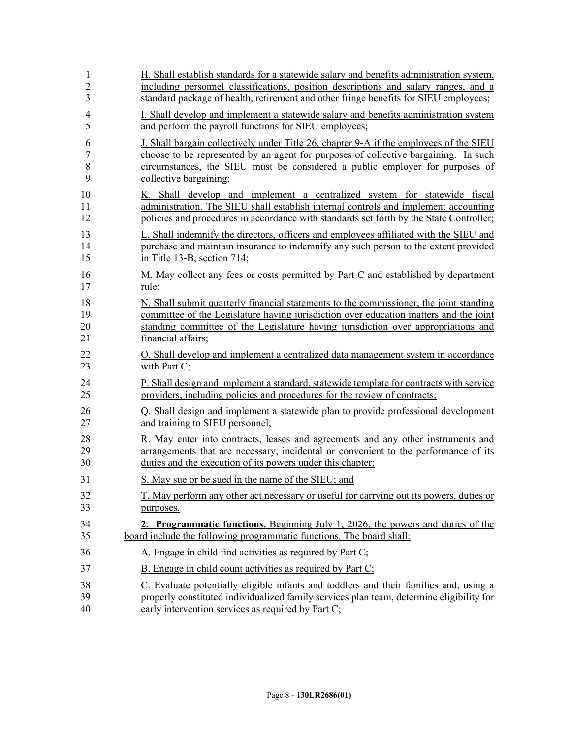| $\mathbf{1}$   | H. Shall establish standards for a statewide salary and benefits administration system,  |
|----------------|------------------------------------------------------------------------------------------|
| $\overline{c}$ | including personnel classifications, position descriptions and salary ranges, and a      |
| 3              | standard package of health, retirement and other fringe benefits for SIEU employees;     |
| $\overline{4}$ | I. Shall develop and implement a statewide salary and benefits administration system     |
| 5              | and perform the payroll functions for SIEU employees;                                    |
| 6              | J. Shall bargain collectively under Title 26, chapter 9-A if the employees of the SIEU   |
| 7              | choose to be represented by an agent for purposes of collective bargaining. In such      |
| 8              | circumstances, the SIEU must be considered a public employer for purposes of             |
| 9              | collective bargaining;                                                                   |
| 10             | K. Shall develop and implement a centralized system for statewide fiscal                 |
| 11             | administration. The SIEU shall establish internal controls and implement accounting      |
| 12             | policies and procedures in accordance with standards set forth by the State Controller;  |
| 13             | L. Shall indemnify the directors, officers and employees affiliated with the SIEU and    |
| 14             | purchase and maintain insurance to indemnify any such person to the extent provided      |
| 15             | in Title 13-B, section 714;                                                              |
| 16             | M. May collect any fees or costs permitted by Part C and established by department       |
| 17             | rule;                                                                                    |
| 18             | N. Shall submit quarterly financial statements to the commissioner, the joint standing   |
| 19             | committee of the Legislature having jurisdiction over education matters and the joint    |
| 20             | standing committee of the Legislature having jurisdiction over appropriations and        |
| 21             | financial affairs:                                                                       |
| 22             | O. Shall develop and implement a centralized data management system in accordance        |
| 23             | with Part $C$ ;                                                                          |
| 24             | P. Shall design and implement a standard, statewide template for contracts with service  |
| 25             | providers, including policies and procedures for the review of contracts;                |
| 26             | Q. Shall design and implement a statewide plan to provide professional development       |
| 27             | and training to SIEU personnel;                                                          |
| 28             | R. May enter into contracts, leases and agreements and any other instruments and         |
| 29             | arrangements that are necessary, incidental or convenient to the performance of its      |
| 30             | duties and the execution of its powers under this chapter;                               |
| 31             | S. May sue or be sued in the name of the SIEU; and                                       |
| 32             | T. May perform any other act necessary or useful for carrying out its powers, duties or  |
| 33             | purposes.                                                                                |
| 34             | <b>2. Programmatic functions.</b> Beginning July 1, 2026, the powers and duties of the   |
| 35             | board include the following programmatic functions. The board shall:                     |
| 36             | A. Engage in child find activities as required by Part C;                                |
| 37             | B. Engage in child count activities as required by Part $C$ ;                            |
| 38             | C. Evaluate potentially eligible infants and toddlers and their families and, using a    |
| 39             | properly constituted individualized family services plan team, determine eligibility for |
| 40             | early intervention services as required by Part C;                                       |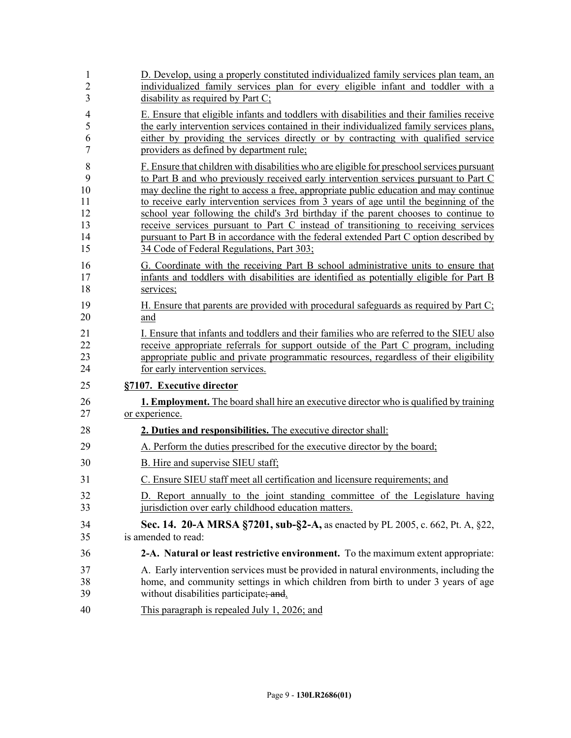| $\mathbf{1}$   | D. Develop, using a properly constituted individualized family services plan team, an         |
|----------------|-----------------------------------------------------------------------------------------------|
| $\overline{2}$ | individualized family services plan for every eligible infant and toddler with a              |
| 3              | disability as required by Part C;                                                             |
| $\overline{4}$ | E. Ensure that eligible infants and toddlers with disabilities and their families receive     |
| 5              | the early intervention services contained in their individualized family services plans,      |
| 6              | either by providing the services directly or by contracting with qualified service            |
| $\tau$         | providers as defined by department rule;                                                      |
| 8              | F. Ensure that children with disabilities who are eligible for preschool services pursuant    |
| 9              | to Part B and who previously received early intervention services pursuant to Part C          |
| 10             | may decline the right to access a free, appropriate public education and may continue         |
| 11             | to receive early intervention services from 3 years of age until the beginning of the         |
| 12             | school year following the child's 3rd birthday if the parent chooses to continue to           |
| 13             | receive services pursuant to Part C instead of transitioning to receiving services            |
| 14             | pursuant to Part B in accordance with the federal extended Part C option described by         |
| 15             | 34 Code of Federal Regulations, Part 303;                                                     |
| 16             | G. Coordinate with the receiving Part B school administrative units to ensure that            |
| 17             | infants and toddlers with disabilities are identified as potentially eligible for Part B      |
| 18             | services;                                                                                     |
| 19             | H. Ensure that parents are provided with procedural safeguards as required by Part C;         |
| 20             | and                                                                                           |
| 21             | I. Ensure that infants and toddlers and their families who are referred to the SIEU also      |
| 22             | receive appropriate referrals for support outside of the Part C program, including            |
| 23             | appropriate public and private programmatic resources, regardless of their eligibility        |
| 24             | for early intervention services.                                                              |
| 25             | §7107. Executive director                                                                     |
| 26             | <b>1. Employment.</b> The board shall hire an executive director who is qualified by training |
| 27             | or experience.                                                                                |
| 28             | 2. Duties and responsibilities. The executive director shall:                                 |
| 29             | A. Perform the duties prescribed for the executive director by the board;                     |
| 30             | B. Hire and supervise SIEU staff;                                                             |
| 31             | C. Ensure SIEU staff meet all certification and licensure requirements; and                   |
| 32             | D. Report annually to the joint standing committee of the Legislature having                  |
| 33             | jurisdiction over early childhood education matters.                                          |
| 34             | Sec. 14. 20-A MRSA §7201, sub-§2-A, as enacted by PL 2005, c. 662, Pt. A, §22,                |
| 35             | is amended to read:                                                                           |
| 36             | 2-A. Natural or least restrictive environment. To the maximum extent appropriate:             |
| 37             | A. Early intervention services must be provided in natural environments, including the        |
| 38             | home, and community settings in which children from birth to under 3 years of age             |
| 39             | without disabilities participate; and                                                         |
| 40             | This paragraph is repealed July 1, 2026; and                                                  |
|                |                                                                                               |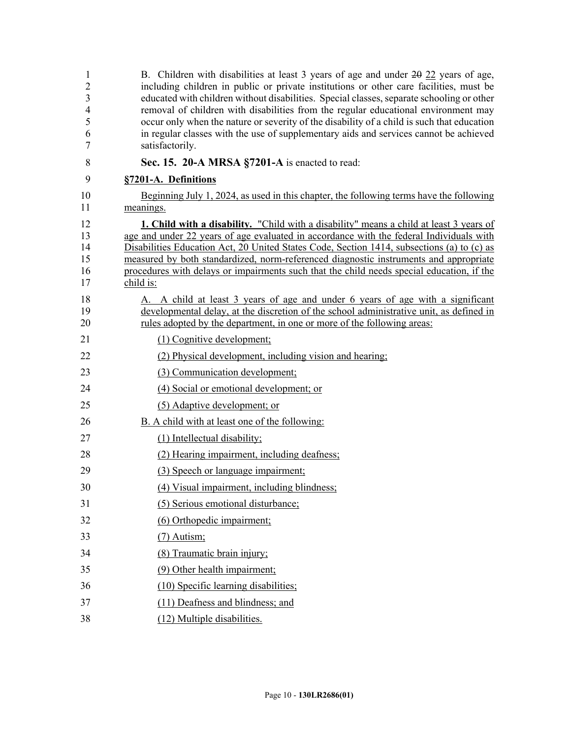| 1<br>$\overline{c}$<br>3<br>4<br>5<br>6<br>7 | B. Children with disabilities at least 3 years of age and under 20 22 years of age,<br>including children in public or private institutions or other care facilities, must be<br>educated with children without disabilities. Special classes, separate schooling or other<br>removal of children with disabilities from the regular educational environment may<br>occur only when the nature or severity of the disability of a child is such that education<br>in regular classes with the use of supplementary aids and services cannot be achieved<br>satisfactorily. |
|----------------------------------------------|----------------------------------------------------------------------------------------------------------------------------------------------------------------------------------------------------------------------------------------------------------------------------------------------------------------------------------------------------------------------------------------------------------------------------------------------------------------------------------------------------------------------------------------------------------------------------|
| 8                                            | Sec. 15. 20-A MRSA §7201-A is enacted to read:                                                                                                                                                                                                                                                                                                                                                                                                                                                                                                                             |
| 9                                            | §7201-A. Definitions                                                                                                                                                                                                                                                                                                                                                                                                                                                                                                                                                       |
| 10<br>11                                     | Beginning July 1, 2024, as used in this chapter, the following terms have the following<br>meanings.                                                                                                                                                                                                                                                                                                                                                                                                                                                                       |
| 12<br>13<br>14<br>15<br>16<br>17             | <b>1. Child with a disability.</b> "Child with a disability" means a child at least 3 years of<br>age and under 22 years of age evaluated in accordance with the federal Individuals with<br>Disabilities Education Act, 20 United States Code, Section 1414, subsections (a) to (c) as<br>measured by both standardized, norm-referenced diagnostic instruments and appropriate<br>procedures with delays or impairments such that the child needs special education, if the<br>child is:                                                                                 |
| 18<br>19<br>20                               | A. A child at least 3 years of age and under 6 years of age with a significant<br>developmental delay, at the discretion of the school administrative unit, as defined in<br>rules adopted by the department, in one or more of the following areas:                                                                                                                                                                                                                                                                                                                       |
| 21                                           | (1) Cognitive development;                                                                                                                                                                                                                                                                                                                                                                                                                                                                                                                                                 |
| 22                                           | (2) Physical development, including vision and hearing;                                                                                                                                                                                                                                                                                                                                                                                                                                                                                                                    |
| 23                                           | (3) Communication development;                                                                                                                                                                                                                                                                                                                                                                                                                                                                                                                                             |
| 24                                           | (4) Social or emotional development; or                                                                                                                                                                                                                                                                                                                                                                                                                                                                                                                                    |
| 25                                           | (5) Adaptive development; or                                                                                                                                                                                                                                                                                                                                                                                                                                                                                                                                               |
| 26                                           | B. A child with at least one of the following:                                                                                                                                                                                                                                                                                                                                                                                                                                                                                                                             |
| 27                                           | (1) Intellectual disability;                                                                                                                                                                                                                                                                                                                                                                                                                                                                                                                                               |
| 28                                           | (2) Hearing impairment, including deafness;                                                                                                                                                                                                                                                                                                                                                                                                                                                                                                                                |
| 29                                           | (3) Speech or language impairment;                                                                                                                                                                                                                                                                                                                                                                                                                                                                                                                                         |
| 30                                           | (4) Visual impairment, including blindness;                                                                                                                                                                                                                                                                                                                                                                                                                                                                                                                                |
| 31                                           | (5) Serious emotional disturbance;                                                                                                                                                                                                                                                                                                                                                                                                                                                                                                                                         |
| 32                                           | (6) Orthopedic impairment;                                                                                                                                                                                                                                                                                                                                                                                                                                                                                                                                                 |
| 33                                           | $(7)$ Autism;                                                                                                                                                                                                                                                                                                                                                                                                                                                                                                                                                              |
| 34                                           | (8) Traumatic brain injury;                                                                                                                                                                                                                                                                                                                                                                                                                                                                                                                                                |
| 35                                           | (9) Other health impairment;                                                                                                                                                                                                                                                                                                                                                                                                                                                                                                                                               |
| 36                                           | (10) Specific learning disabilities;                                                                                                                                                                                                                                                                                                                                                                                                                                                                                                                                       |
| 37                                           | (11) Deafness and blindness; and                                                                                                                                                                                                                                                                                                                                                                                                                                                                                                                                           |
| 38                                           | (12) Multiple disabilities.                                                                                                                                                                                                                                                                                                                                                                                                                                                                                                                                                |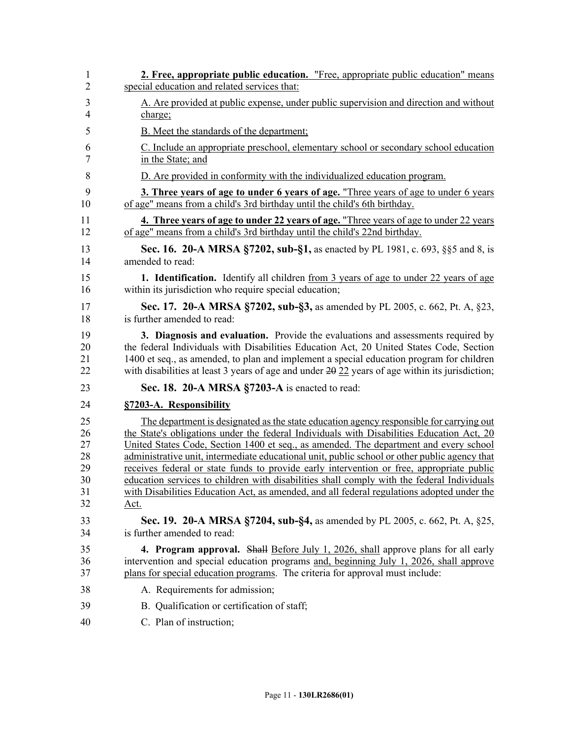| 1              | <b>2. Free, appropriate public education.</b> "Free, appropriate public education" means                 |
|----------------|----------------------------------------------------------------------------------------------------------|
| $\overline{2}$ | special education and related services that:                                                             |
| 3              | A. Are provided at public expense, under public supervision and direction and without                    |
| 4              | charge;                                                                                                  |
| 5              | <b>B.</b> Meet the standards of the department;                                                          |
| 6              | C. Include an appropriate preschool, elementary school or secondary school education                     |
| 7              | in the State; and                                                                                        |
| 8              | D. Are provided in conformity with the individualized education program.                                 |
| 9              | <b>3. Three years of age to under 6 years of age.</b> "Three years of age to under 6 years               |
| 10             | of age" means from a child's 3rd birthday until the child's 6th birthday.                                |
| 11             | 4. Three years of age to under 22 years of age. "Three years of age to under 22 years                    |
| 12             | of age" means from a child's 3rd birthday until the child's 22nd birthday.                               |
| 13             | <b>Sec. 16. 20-A MRSA §7202, sub-§1, as enacted by PL 1981, c. 693, §§5 and 8, is</b>                    |
| 14             | amended to read:                                                                                         |
| 15             | <b>1. Identification.</b> Identify all children from 3 years of age to under 22 years of age             |
| 16             | within its jurisdiction who require special education;                                                   |
| 17             | Sec. 17. 20-A MRSA §7202, sub-§3, as amended by PL 2005, c. 662, Pt. A, §23,                             |
| 18             | is further amended to read:                                                                              |
| 19             | 3. Diagnosis and evaluation. Provide the evaluations and assessments required by                         |
| 20             | the federal Individuals with Disabilities Education Act, 20 United States Code, Section                  |
| 21             | 1400 et seq., as amended, to plan and implement a special education program for children                 |
| 22             | with disabilities at least 3 years of age and under $2\theta$ $22$ years of age within its jurisdiction; |
| 23             | Sec. 18. 20-A MRSA §7203-A is enacted to read:                                                           |
| 24             | §7203-A. Responsibility                                                                                  |
| 25             | The department is designated as the state education agency responsible for carrying out                  |
| 26             | the State's obligations under the federal Individuals with Disabilities Education Act, 20                |
| 27             | United States Code, Section 1400 et seq., as amended. The department and every school                    |
| 28             | administrative unit, intermediate educational unit, public school or other public agency that            |
| 29             | receives federal or state funds to provide early intervention or free, appropriate public                |
| 30             | education services to children with disabilities shall comply with the federal Individuals               |
| 31             | with Disabilities Education Act, as amended, and all federal regulations adopted under the               |
| 32             | Act.                                                                                                     |
| 33             | Sec. 19. 20-A MRSA §7204, sub-§4, as amended by PL 2005, c. 662, Pt. A, §25,                             |
| 34             | is further amended to read:                                                                              |
| 35             | 4. Program approval. Shall Before July 1, 2026, shall approve plans for all early                        |
| 36             | intervention and special education programs and, beginning July 1, 2026, shall approve                   |
| 37             | plans for special education programs. The criteria for approval must include:                            |
| 38             | A. Requirements for admission;                                                                           |
| 39             | B. Qualification or certification of staff;                                                              |
| 40             | C. Plan of instruction;                                                                                  |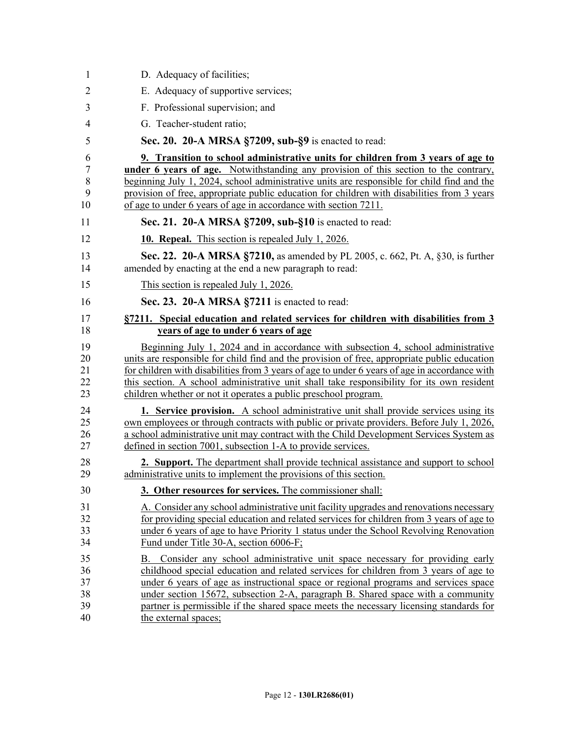| 1              | D. Adequacy of facilities;                                                                                                                                                                    |
|----------------|-----------------------------------------------------------------------------------------------------------------------------------------------------------------------------------------------|
| $\overline{2}$ | E. Adequacy of supportive services;                                                                                                                                                           |
| 3              | F. Professional supervision; and                                                                                                                                                              |
| $\overline{4}$ | G. Teacher-student ratio;                                                                                                                                                                     |
| 5              | Sec. 20. 20-A MRSA §7209, sub-§9 is enacted to read:                                                                                                                                          |
| 6              | 9. Transition to school administrative units for children from 3 years of age to                                                                                                              |
| 7              | under 6 years of age. Notwithstanding any provision of this section to the contrary,                                                                                                          |
| 8<br>9         | beginning July 1, 2024, school administrative units are responsible for child find and the<br>provision of free, appropriate public education for children with disabilities from 3 years     |
| 10             | of age to under 6 years of age in accordance with section 7211.                                                                                                                               |
| 11             | Sec. 21. 20-A MRSA §7209, sub-§10 is enacted to read:                                                                                                                                         |
| 12             | <b>10. Repeal.</b> This section is repealed July 1, 2026.                                                                                                                                     |
| 13<br>14       | <b>Sec. 22. 20-A MRSA §7210, as amended by PL 2005, c. 662, Pt. A, §30, is further</b><br>amended by enacting at the end a new paragraph to read:                                             |
| 15             | This section is repealed July 1, 2026.                                                                                                                                                        |
| 16             | Sec. 23. 20-A MRSA §7211 is enacted to read:                                                                                                                                                  |
| 17             | §7211. Special education and related services for children with disabilities from 3                                                                                                           |
| 18             | years of age to under 6 years of age                                                                                                                                                          |
| 19             | Beginning July 1, 2024 and in accordance with subsection 4, school administrative                                                                                                             |
| 20<br>21       | units are responsible for child find and the provision of free, appropriate public education<br>for children with disabilities from 3 years of age to under 6 years of age in accordance with |
| 22             | this section. A school administrative unit shall take responsibility for its own resident                                                                                                     |
| 23             | children whether or not it operates a public preschool program.                                                                                                                               |
| 24             | <b>1. Service provision.</b> A school administrative unit shall provide services using its                                                                                                    |
| 25             | own employees or through contracts with public or private providers. Before July 1, 2026,                                                                                                     |
| 26             | a school administrative unit may contract with the Child Development Services System as<br>defined in section 7001, subsection 1-A to provide services.                                       |
| 27             |                                                                                                                                                                                               |
| 28<br>29       | 2. Support. The department shall provide technical assistance and support to school<br>administrative units to implement the provisions of this section.                                      |
| 30             | 3. Other resources for services. The commissioner shall:                                                                                                                                      |
| 31             | A. Consider any school administrative unit facility upgrades and renovations necessary                                                                                                        |
| 32             | for providing special education and related services for children from 3 years of age to                                                                                                      |
| 33             | under 6 years of age to have Priority 1 status under the School Revolving Renovation                                                                                                          |
| 34             | Fund under Title 30-A, section 6006-F;                                                                                                                                                        |
| 35             | B. Consider any school administrative unit space necessary for providing early                                                                                                                |
| 36             | childhood special education and related services for children from 3 years of age to                                                                                                          |
| 37<br>38       | under 6 years of age as instructional space or regional programs and services space<br>under section 15672, subsection 2-A, paragraph B. Shared space with a community                        |
| 39             | partner is permissible if the shared space meets the necessary licensing standards for                                                                                                        |
| 40             | the external spaces;                                                                                                                                                                          |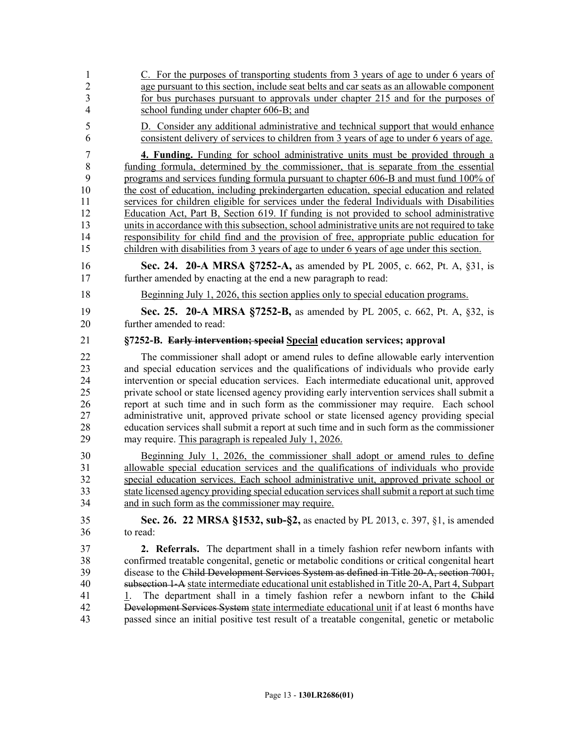| 1                                      | C. For the purposes of transporting students from 3 years of age to under 6 years of                                                                                                                                                                                                                                                                                                                                                                                                                                                                                                                                                                              |
|----------------------------------------|-------------------------------------------------------------------------------------------------------------------------------------------------------------------------------------------------------------------------------------------------------------------------------------------------------------------------------------------------------------------------------------------------------------------------------------------------------------------------------------------------------------------------------------------------------------------------------------------------------------------------------------------------------------------|
| $\overline{2}$                         | age pursuant to this section, include seat belts and car seats as an allowable component                                                                                                                                                                                                                                                                                                                                                                                                                                                                                                                                                                          |
| 3                                      | for bus purchases pursuant to approvals under chapter 215 and for the purposes of                                                                                                                                                                                                                                                                                                                                                                                                                                                                                                                                                                                 |
| $\overline{4}$                         | school funding under chapter 606-B; and                                                                                                                                                                                                                                                                                                                                                                                                                                                                                                                                                                                                                           |
| 5                                      | D. Consider any additional administrative and technical support that would enhance                                                                                                                                                                                                                                                                                                                                                                                                                                                                                                                                                                                |
| 6                                      | consistent delivery of services to children from 3 years of age to under 6 years of age.                                                                                                                                                                                                                                                                                                                                                                                                                                                                                                                                                                          |
| $\overline{7}$                         | 4. Funding. Funding for school administrative units must be provided through a                                                                                                                                                                                                                                                                                                                                                                                                                                                                                                                                                                                    |
| 8                                      | funding formula, determined by the commissioner, that is separate from the essential                                                                                                                                                                                                                                                                                                                                                                                                                                                                                                                                                                              |
| 9                                      | programs and services funding formula pursuant to chapter 606-B and must fund 100% of                                                                                                                                                                                                                                                                                                                                                                                                                                                                                                                                                                             |
| 10                                     | the cost of education, including prekindergarten education, special education and related                                                                                                                                                                                                                                                                                                                                                                                                                                                                                                                                                                         |
| 11                                     | services for children eligible for services under the federal Individuals with Disabilities                                                                                                                                                                                                                                                                                                                                                                                                                                                                                                                                                                       |
| 12                                     | Education Act, Part B, Section 619. If funding is not provided to school administrative                                                                                                                                                                                                                                                                                                                                                                                                                                                                                                                                                                           |
| 13                                     | units in accordance with this subsection, school administrative units are not required to take                                                                                                                                                                                                                                                                                                                                                                                                                                                                                                                                                                    |
| 14                                     | responsibility for child find and the provision of free, appropriate public education for                                                                                                                                                                                                                                                                                                                                                                                                                                                                                                                                                                         |
| 15                                     | children with disabilities from 3 years of age to under 6 years of age under this section.                                                                                                                                                                                                                                                                                                                                                                                                                                                                                                                                                                        |
| 16                                     | Sec. 24. 20-A MRSA §7252-A, as amended by PL 2005, c. 662, Pt. A, §31, is                                                                                                                                                                                                                                                                                                                                                                                                                                                                                                                                                                                         |
| 17                                     | further amended by enacting at the end a new paragraph to read:                                                                                                                                                                                                                                                                                                                                                                                                                                                                                                                                                                                                   |
| 18                                     | Beginning July 1, 2026, this section applies only to special education programs.                                                                                                                                                                                                                                                                                                                                                                                                                                                                                                                                                                                  |
| 19                                     | Sec. 25. 20-A MRSA §7252-B, as amended by PL 2005, c. 662, Pt. A, §32, is                                                                                                                                                                                                                                                                                                                                                                                                                                                                                                                                                                                         |
| 20                                     | further amended to read:                                                                                                                                                                                                                                                                                                                                                                                                                                                                                                                                                                                                                                          |
| 21                                     | §7252-B. Early intervention; special Special education services; approval                                                                                                                                                                                                                                                                                                                                                                                                                                                                                                                                                                                         |
| 22                                     | The commissioner shall adopt or amend rules to define allowable early intervention                                                                                                                                                                                                                                                                                                                                                                                                                                                                                                                                                                                |
| 23                                     | and special education services and the qualifications of individuals who provide early                                                                                                                                                                                                                                                                                                                                                                                                                                                                                                                                                                            |
| 24                                     | intervention or special education services. Each intermediate educational unit, approved                                                                                                                                                                                                                                                                                                                                                                                                                                                                                                                                                                          |
| 25                                     | private school or state licensed agency providing early intervention services shall submit a                                                                                                                                                                                                                                                                                                                                                                                                                                                                                                                                                                      |
| 26                                     | report at such time and in such form as the commissioner may require. Each school                                                                                                                                                                                                                                                                                                                                                                                                                                                                                                                                                                                 |
| 27                                     | administrative unit, approved private school or state licensed agency providing special                                                                                                                                                                                                                                                                                                                                                                                                                                                                                                                                                                           |
| 28                                     | education services shall submit a report at such time and in such form as the commissioner                                                                                                                                                                                                                                                                                                                                                                                                                                                                                                                                                                        |
| 29                                     | may require. This paragraph is repealed July 1, 2026.                                                                                                                                                                                                                                                                                                                                                                                                                                                                                                                                                                                                             |
| 30                                     | Beginning July 1, 2026, the commissioner shall adopt or amend rules to define                                                                                                                                                                                                                                                                                                                                                                                                                                                                                                                                                                                     |
| 31                                     | allowable special education services and the qualifications of individuals who provide                                                                                                                                                                                                                                                                                                                                                                                                                                                                                                                                                                            |
| 32                                     | special education services. Each school administrative unit, approved private school or                                                                                                                                                                                                                                                                                                                                                                                                                                                                                                                                                                           |
| 33                                     | state licensed agency providing special education services shall submit a report at such time                                                                                                                                                                                                                                                                                                                                                                                                                                                                                                                                                                     |
| 34                                     | and in such form as the commissioner may require.                                                                                                                                                                                                                                                                                                                                                                                                                                                                                                                                                                                                                 |
| 35                                     | <b>Sec. 26. 22 MRSA §1532, sub-§2,</b> as enacted by PL 2013, c. 397, §1, is amended                                                                                                                                                                                                                                                                                                                                                                                                                                                                                                                                                                              |
| 36                                     | to read:                                                                                                                                                                                                                                                                                                                                                                                                                                                                                                                                                                                                                                                          |
| 37<br>38<br>39<br>40<br>41<br>42<br>43 | 2. Referrals. The department shall in a timely fashion refer newborn infants with<br>confirmed treatable congenital, genetic or metabolic conditions or critical congenital heart<br>disease to the Child Development Services System as defined in Title 20-A, section 7001,<br>subsection 1-A state intermediate educational unit established in Title 20-A, Part 4, Subpart<br>The department shall in a timely fashion refer a newborn infant to the Child<br>1.<br>Development Services System state intermediate educational unit if at least 6 months have<br>passed since an initial positive test result of a treatable congenital, genetic or metabolic |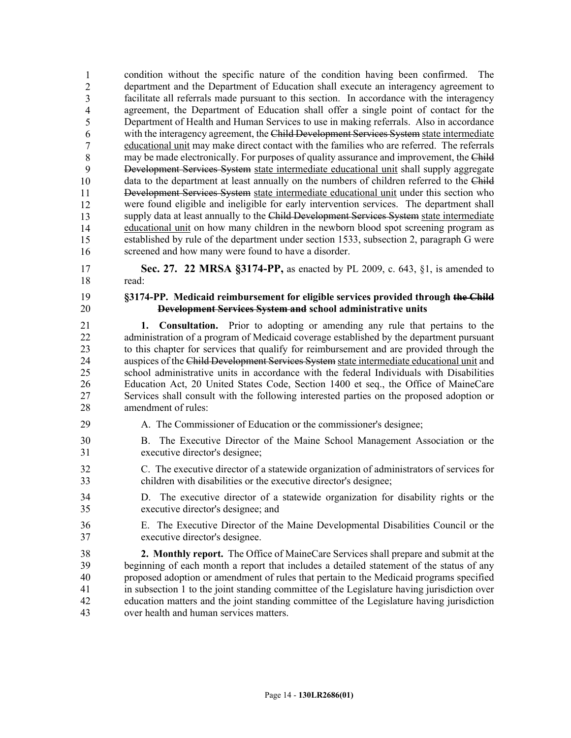44 condition without the specific nature of the condition having been confirmed. The 45 department and the Department of Education shall execute an interagency agreement to facilitate all referrals made pursuant to this section. In accordance with the interagency agreement, the Department of Education shall offer a single point of contact for the Department of Health and Human Services to use in making referrals. Also in accordance with the interagency agreement, the Child Development Services System state intermediate 50 educational unit may make direct contact with the families who are referred. The referrals may be made electronically. For purposes of quality assurance and improvement, the Child 52 Development Services System state intermediate educational unit shall supply aggregate data to the department at least annually on the numbers of children referred to the Child Development Services System state intermediate educational unit under this section who were found eligible and ineligible for early intervention services. The department shall supply data at least annually to the Child Development Services System state intermediate 57 educational unit on how many children in the newborn blood spot screening program as established by rule of the department under section 1533, subsection 2, paragraph G were screened and how many were found to have a disorder. 1 2 3 4 5 6 7 8 9 10 11 12 13 14 15 16

17 **Sec. 27. 22 MRSA §3174-PP,** as enacted by PL 2009, c. 643, §1, is amended to 18 read:

#### 19 **§3174-PP. Medicaid reimbursement for eligible services provided through the Child**  20 **Development Services System and school administrative units**

21 **1. Consultation.** Prior to adopting or amending any rule that pertains to the 22 administration of a program of Medicaid coverage established by the department pursuant 23 to this chapter for services that qualify for reimbursement and are provided through the 24 auspices of the Child Development Services System state intermediate educational unit and 25 school administrative units in accordance with the federal Individuals with Disabilities 26 Education Act, 20 United States Code, Section 1400 et seq., the Office of MaineCare 27 Services shall consult with the following interested parties on the proposed adoption or 28 amendment of rules:

- 29 A. The Commissioner of Education or the commissioner's designee;
- 30 B. The Executive Director of the Maine School Management Association or the 31 executive director's designee;
- 32 C. The executive director of a statewide organization of administrators of services for 33 children with disabilities or the executive director's designee;
- 34 D. The executive director of a statewide organization for disability rights or the 35 executive director's designee; and
- 36 E. The Executive Director of the Maine Developmental Disabilities Council or the 37 executive director's designee.

38 **2. Monthly report.** The Office of MaineCare Services shall prepare and submit at the 39 beginning of each month a report that includes a detailed statement of the status of any 40 proposed adoption or amendment of rules that pertain to the Medicaid programs specified 41 in subsection 1 to the joint standing committee of the Legislature having jurisdiction over 42 education matters and the joint standing committee of the Legislature having jurisdiction 43 over health and human services matters.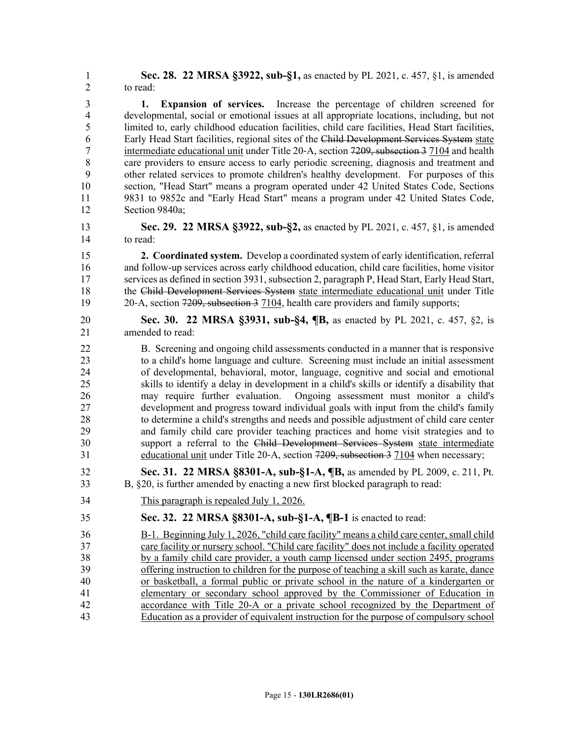1 **Sec. 28. 22 MRSA §3922, sub-§1,** as enacted by PL 2021, c. 457, §1, is amended 2 to read:

3 **1. Expansion of services.** Increase the percentage of children screened for 4 developmental, social or emotional issues at all appropriate locations, including, but not 5 limited to, early childhood education facilities, child care facilities, Head Start facilities, 6 Early Head Start facilities, regional sites of the Child Development Services System state 7 intermediate educational unit under Title 20-A, section 7209, subsection 3 7104 and health 8 care providers to ensure access to early periodic screening, diagnosis and treatment and 9 other related services to promote children's healthy development. For purposes of this 10 section, "Head Start" means a program operated under 42 United States Code, Sections 11 9831 to 9852c and "Early Head Start" means a program under 42 United States Code, 12 Section 9840a;

13 **Sec. 29. 22 MRSA §3922, sub-§2,** as enacted by PL 2021, c. 457, §1, is amended 14 to read:

15 **2. Coordinated system.** Develop a coordinated system of early identification, referral 16 and follow-up services across early childhood education, child care facilities, home visitor 17 services as defined in section 3931, subsection 2, paragraph P, Head Start, Early Head Start, 18 the Child Development Services System state intermediate educational unit under Title 19 20‐A, section  $720\overline{9}$ , subsection 3 7104, health care providers and family supports;

20 **Sec. 30. 22 MRSA §3931, sub-§4, ¶B,** as enacted by PL 2021, c. 457, §2, is 21 amended to read:

22 B. Screening and ongoing child assessments conducted in a manner that is responsive 23 to a child's home language and culture. Screening must include an initial assessment 24 of developmental, behavioral, motor, language, cognitive and social and emotional 25 skills to identify a delay in development in a child's skills or identify a disability that 26 may require further evaluation. Ongoing assessment must monitor a child's 27 development and progress toward individual goals with input from the child's family 28 to determine a child's strengths and needs and possible adjustment of child care center 29 and family child care provider teaching practices and home visit strategies and to 30 support a referral to the Child Development Services System state intermediate 31 educational unit under Title 20-A, section 7209, subsection 3 7104 when necessary;

- 32 **Sec. 31. 22 MRSA §8301-A, sub-§1-A, ¶B,** as amended by PL 2009, c. 211, Pt. 33 B, §20, is further amended by enacting a new first blocked paragraph to read:
- 34 This paragraph is repealed July 1, 2026.

### 35 **Sec. 32. 22 MRSA §8301-A, sub-§1-A, ¶B-1** is enacted to read:

36 B-1. Beginning July 1, 2026, "child care facility" means a child care center, small child 37 care facility or nursery school. "Child care facility" does not include a facility operated 38 by a family child care provider, a youth camp licensed under section 2495, programs 39 offering instruction to children for the purpose of teaching a skill such as karate, dance 40 or basketball, a formal public or private school in the nature of a kindergarten or 41 elementary or secondary school approved by the Commissioner of Education in 42 accordance with Title 20-A or a private school recognized by the Department of 43 Education as a provider of equivalent instruction for the purpose of compulsory school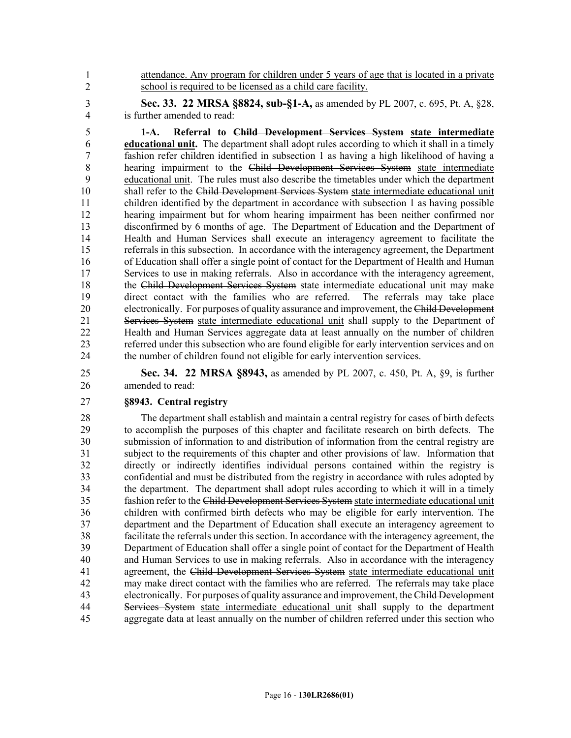44 attendance. Any program for children under 5 years of age that is located in a private school is required to be licensed as a child care facility.

3 **Sec. 33. 22 MRSA §8824, sub-§1-A,** as amended by PL 2007, c. 695, Pt. A, §28, 4 is further amended to read:

5 **1-A. Referral to Child Development Services System state intermediate**  6 **educational unit.** The department shall adopt rules according to which it shall in a timely 7 fashion refer children identified in subsection 1 as having a high likelihood of having a 8 hearing impairment to the Child Development Services System state intermediate 9 educational unit. The rules must also describe the timetables under which the department 10 shall refer to the Child Development Services System state intermediate educational unit 11 children identified by the department in accordance with subsection 1 as having possible 12 hearing impairment but for whom hearing impairment has been neither confirmed nor 13 disconfirmed by 6 months of age. The Department of Education and the Department of 14 Health and Human Services shall execute an interagency agreement to facilitate the 15 referrals in this subsection. In accordance with the interagency agreement, the Department 16 of Education shall offer a single point of contact for the Department of Health and Human 17 Services to use in making referrals. Also in accordance with the interagency agreement, 18 the Child Development Services System state intermediate educational unit may make 19 direct contact with the families who are referred. The referrals may take place 20 electronically. For purposes of quality assurance and improvement, the Child Development 21 Services System state intermediate educational unit shall supply to the Department of 22 Health and Human Services aggregate data at least annually on the number of children<br>23 referred under this subsection who are found eligible for early intervention services and on referred under this subsection who are found eligible for early intervention services and on 24 the number of children found not eligible for early intervention services.

25 **Sec. 34. 22 MRSA §8943,** as amended by PL 2007, c. 450, Pt. A, §9, is further 26 amended to read:

#### 27 **§8943. Central registry**

1 2

28 The department shall establish and maintain a central registry for cases of birth defects 29 to accomplish the purposes of this chapter and facilitate research on birth defects. The 30 submission of information to and distribution of information from the central registry are 31 subject to the requirements of this chapter and other provisions of law. Information that 32 directly or indirectly identifies individual persons contained within the registry is 33 confidential and must be distributed from the registry in accordance with rules adopted by 34 the department. The department shall adopt rules according to which it will in a timely 35 fashion refer to the Child Development Services System state intermediate educational unit 36 children with confirmed birth defects who may be eligible for early intervention. The 37 department and the Department of Education shall execute an interagency agreement to 38 facilitate the referrals under this section. In accordance with the interagency agreement, the 39 Department of Education shall offer a single point of contact for the Department of Health 40 and Human Services to use in making referrals. Also in accordance with the interagency 41 agreement, the Child Development Services System state intermediate educational unit 42 may make direct contact with the families who are referred. The referrals may take place 43 electronically. For purposes of quality assurance and improvement, the Child Development 44 Services System state intermediate educational unit shall supply to the department 45 aggregate data at least annually on the number of children referred under this section who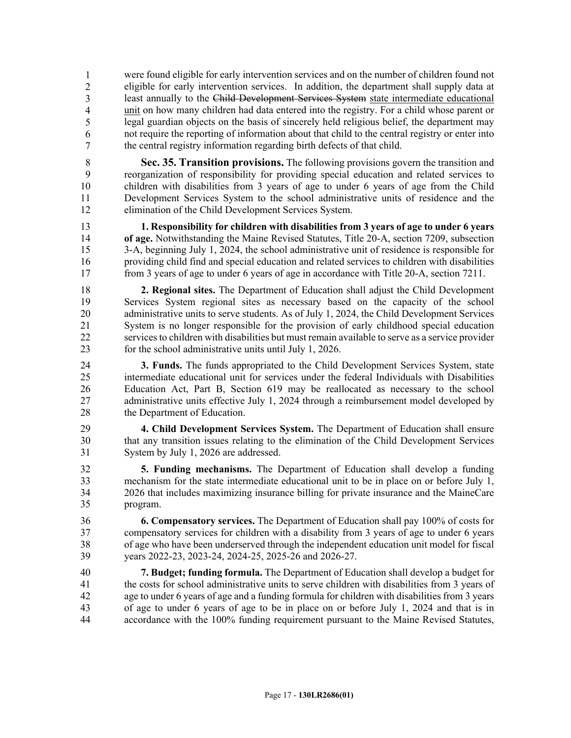were found eligible for early intervention services and on the number of children found not 47 eligible for early intervention services. In addition, the department shall supply data at least annually to the Child Development Services System state intermediate educational 49 unit on how many children had data entered into the registry. For a child whose parent or 50 legal guardian objects on the basis of sincerely held religious belief, the department may 51 not require the reporting of information about that child to the central registry or enter into the central registry information regarding birth defects of that child. 1 2 3 4 5 6 7

8 **Sec. 35. Transition provisions.** The following provisions govern the transition and 9 reorganization of responsibility for providing special education and related services to 10 children with disabilities from 3 years of age to under 6 years of age from the Child 11 Development Services System to the school administrative units of residence and the 12 elimination of the Child Development Services System.

13 **1. Responsibility for children with disabilities from 3 years of age to under 6 years**  14 **of age.** Notwithstanding the Maine Revised Statutes, Title 20-A, section 7209, subsection 15 3-A, beginning July 1, 2024, the school administrative unit of residence is responsible for 16 providing child find and special education and related services to children with disabilities 17 from 3 years of age to under 6 years of age in accordance with Title 20-A, section 7211.

18 **2. Regional sites.** The Department of Education shall adjust the Child Development 19 Services System regional sites as necessary based on the capacity of the school 20 administrative units to serve students. As of July 1, 2024, the Child Development Services 21 System is no longer responsible for the provision of early childhood special education 22 services to children with disabilities but must remain available to serve as a service provider 23 for the school administrative units until July 1, 2026.

- 24 **3. Funds.** The funds appropriated to the Child Development Services System, state 25 intermediate educational unit for services under the federal Individuals with Disabilities 26 Education Act, Part B, Section 619 may be reallocated as necessary to the school 27 administrative units effective July 1, 2024 through a reimbursement model developed by 28 the Department of Education.
- 29 **4. Child Development Services System.** The Department of Education shall ensure 30 that any transition issues relating to the elimination of the Child Development Services 31 System by July 1, 2026 are addressed.
- 32 **5. Funding mechanisms.** The Department of Education shall develop a funding 33 mechanism for the state intermediate educational unit to be in place on or before July 1, 34 2026 that includes maximizing insurance billing for private insurance and the MaineCare 35 program.
- 36 **6. Compensatory services.** The Department of Education shall pay 100% of costs for 37 compensatory services for children with a disability from 3 years of age to under 6 years 38 of age who have been underserved through the independent education unit model for fiscal 39 years 2022-23, 2023-24, 2024-25, 2025-26 and 2026-27.
- 40 **7. Budget; funding formula.** The Department of Education shall develop a budget for 41 the costs for school administrative units to serve children with disabilities from 3 years of 42 age to under 6 years of age and a funding formula for children with disabilities from 3 years 43 of age to under 6 years of age to be in place on or before July 1, 2024 and that is in 44 accordance with the 100% funding requirement pursuant to the Maine Revised Statutes,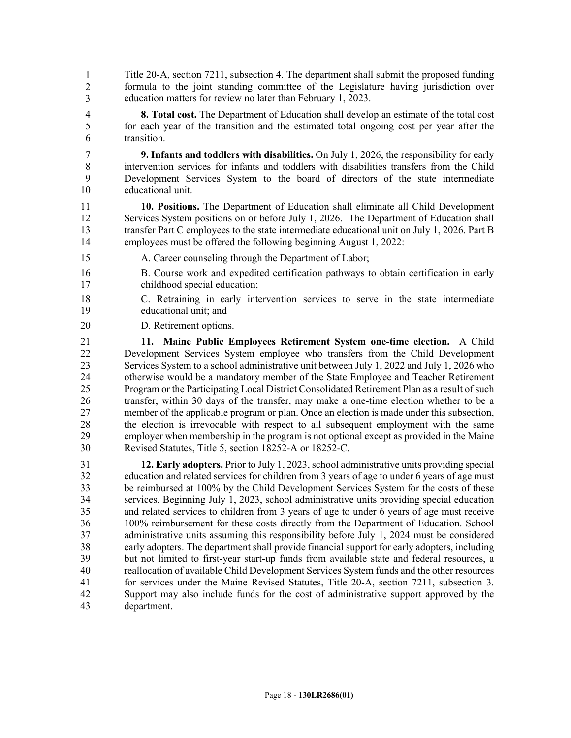Title 20-A, section 7211, subsection 4. The department shall submit the proposed funding formula to the joint standing committee of the Legislature having jurisdiction over education matters for review no later than February 1, 2023. 1 2 3

4 **8. Total cost.** The Department of Education shall develop an estimate of the total cost 5 for each year of the transition and the estimated total ongoing cost per year after the 6 transition.

7 **9. Infants and toddlers with disabilities.** On July 1, 2026, the responsibility for early 8 intervention services for infants and toddlers with disabilities transfers from the Child 9 Development Services System to the board of directors of the state intermediate 10 educational unit.

11 **10. Positions.** The Department of Education shall eliminate all Child Development 12 Services System positions on or before July 1, 2026. The Department of Education shall 13 transfer Part C employees to the state intermediate educational unit on July 1, 2026. Part B 14 employees must be offered the following beginning August 1, 2022:

- 15 A. Career counseling through the Department of Labor;
- 16 B. Course work and expedited certification pathways to obtain certification in early 17 childhood special education;
- 18 C. Retraining in early intervention services to serve in the state intermediate 19 educational unit; and
- 20 D. Retirement options.

21 **11. Maine Public Employees Retirement System one-time election.** A Child 22 Development Services System employee who transfers from the Child Development 23 Services System to a school administrative unit between July 1, 2022 and July 1, 2026 who 24 otherwise would be a mandatory member of the State Employee and Teacher Retirement 25 Program or the Participating Local District Consolidated Retirement Plan as a result of such 26 transfer, within 30 days of the transfer, may make a one-time election whether to be a 27 member of the applicable program or plan. Once an election is made under this subsection, 28 the election is irrevocable with respect to all subsequent employment with the same 29 employer when membership in the program is not optional except as provided in the Maine 30 Revised Statutes, Title 5, section 18252-A or 18252-C.

31 **12. Early adopters.** Prior to July 1, 2023, school administrative units providing special 32 education and related services for children from 3 years of age to under 6 years of age must 33 be reimbursed at 100% by the Child Development Services System for the costs of these 34 services. Beginning July 1, 2023, school administrative units providing special education 35 and related services to children from 3 years of age to under 6 years of age must receive 36 100% reimbursement for these costs directly from the Department of Education. School 37 administrative units assuming this responsibility before July 1, 2024 must be considered 38 early adopters. The department shall provide financial support for early adopters, including 39 but not limited to first-year start-up funds from available state and federal resources, a 40 reallocation of available Child Development Services System funds and the other resources 41 for services under the Maine Revised Statutes, Title 20-A, section 7211, subsection 3. 42 Support may also include funds for the cost of administrative support approved by the 43 department.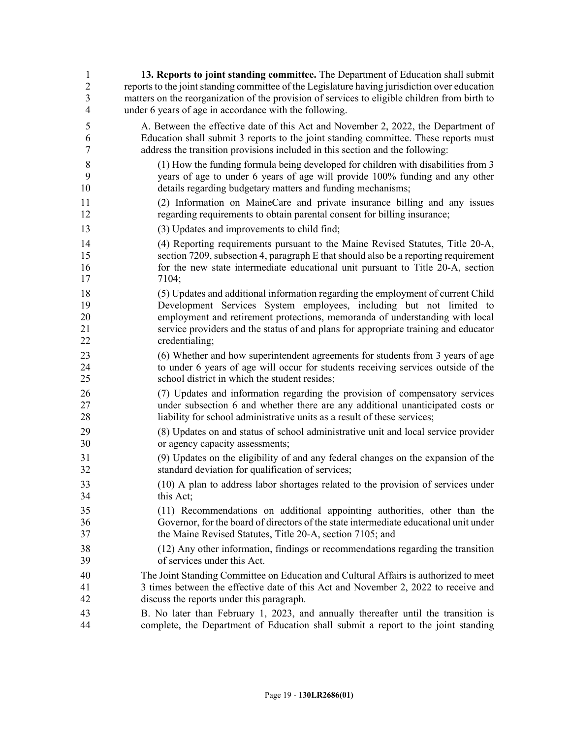| $\mathbf{1}$   | 13. Reports to joint standing committee. The Department of Education shall submit             |
|----------------|-----------------------------------------------------------------------------------------------|
| $\sqrt{2}$     | reports to the joint standing committee of the Legislature having jurisdiction over education |
| $\overline{3}$ | matters on the reorganization of the provision of services to eligible children from birth to |
| $\overline{4}$ | under 6 years of age in accordance with the following.                                        |
| 5              | A. Between the effective date of this Act and November 2, 2022, the Department of             |
| 6              | Education shall submit 3 reports to the joint standing committee. These reports must          |
| $\tau$         | address the transition provisions included in this section and the following:                 |
| 8              | (1) How the funding formula being developed for children with disabilities from 3             |
| 9              | years of age to under 6 years of age will provide 100% funding and any other                  |
| 10             | details regarding budgetary matters and funding mechanisms;                                   |
| 11             | (2) Information on MaineCare and private insurance billing and any issues                     |
| 12             | regarding requirements to obtain parental consent for billing insurance;                      |
| 13             | (3) Updates and improvements to child find;                                                   |
| 14             | (4) Reporting requirements pursuant to the Maine Revised Statutes, Title 20-A,                |
| 15             | section 7209, subsection 4, paragraph E that should also be a reporting requirement           |
| 16             | for the new state intermediate educational unit pursuant to Title 20-A, section               |
| 17             | 7104;                                                                                         |
| 18             | (5) Updates and additional information regarding the employment of current Child              |
| 19             | Development Services System employees, including but not limited to                           |
| 20             | employment and retirement protections, memoranda of understanding with local                  |
| 21             | service providers and the status of and plans for appropriate training and educator           |
| 22             | credentialing;                                                                                |
| 23             | (6) Whether and how superintendent agreements for students from 3 years of age                |
| 24             | to under 6 years of age will occur for students receiving services outside of the             |
| 25             | school district in which the student resides;                                                 |
| 26             | (7) Updates and information regarding the provision of compensatory services                  |
| 27             | under subsection 6 and whether there are any additional unanticipated costs or                |
| 28             | liability for school administrative units as a result of these services;                      |
| 29             | (8) Updates on and status of school administrative unit and local service provider            |
| 30             | or agency capacity assessments;                                                               |
| 31             | (9) Updates on the eligibility of and any federal changes on the expansion of the             |
| 32             | standard deviation for qualification of services;                                             |
| 33             | (10) A plan to address labor shortages related to the provision of services under             |
| 34             | this Act;                                                                                     |
| 35             | (11) Recommendations on additional appointing authorities, other than the                     |
| 36             | Governor, for the board of directors of the state intermediate educational unit under         |
| 37             | the Maine Revised Statutes, Title 20-A, section 7105; and                                     |
| 38             | (12) Any other information, findings or recommendations regarding the transition              |
| 39             | of services under this Act.                                                                   |
| 40             | The Joint Standing Committee on Education and Cultural Affairs is authorized to meet          |
| 41             | 3 times between the effective date of this Act and November 2, 2022 to receive and            |
| 42             | discuss the reports under this paragraph.                                                     |
| 43             | B. No later than February 1, 2023, and annually thereafter until the transition is            |
| 44             | complete, the Department of Education shall submit a report to the joint standing             |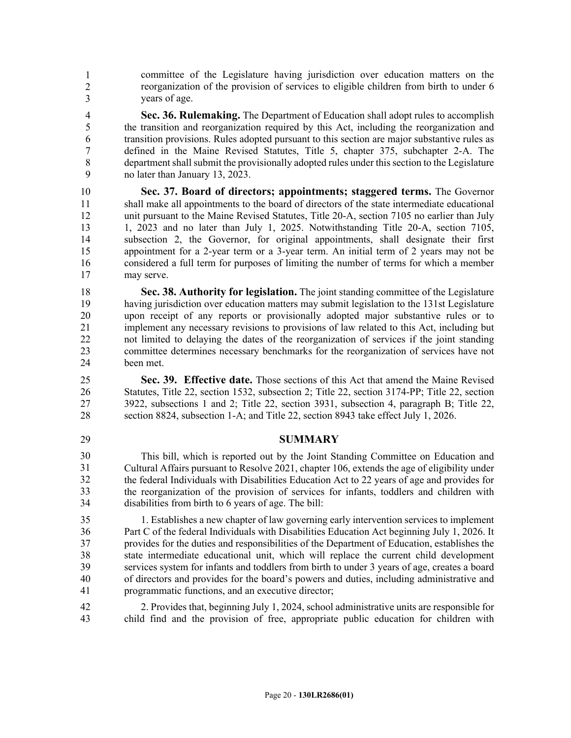committee of the Legislature having jurisdiction over education matters on the 46 reorganization of the provision of services to eligible children from birth to under 6 vears of age. 1 2 3

4 **Sec. 36. Rulemaking.** The Department of Education shall adopt rules to accomplish 5 the transition and reorganization required by this Act, including the reorganization and 6 transition provisions. Rules adopted pursuant to this section are major substantive rules as 7 defined in the Maine Revised Statutes, Title 5, chapter 375, subchapter 2-A. The 8 department shall submit the provisionally adopted rules under this section to the Legislature 9 no later than January 13, 2023.

10 **Sec. 37. Board of directors; appointments; staggered terms.** The Governor 11 shall make all appointments to the board of directors of the state intermediate educational 12 unit pursuant to the Maine Revised Statutes, Title 20-A, section 7105 no earlier than July 13 1, 2023 and no later than July 1, 2025. Notwithstanding Title 20-A, section 7105, 14 subsection 2, the Governor, for original appointments, shall designate their first 15 appointment for a 2-year term or a 3-year term. An initial term of 2 years may not be 16 considered a full term for purposes of limiting the number of terms for which a member 17 may serve.

18 **Sec. 38. Authority for legislation.** The joint standing committee of the Legislature 19 having jurisdiction over education matters may submit legislation to the 131st Legislature 20 upon receipt of any reports or provisionally adopted major substantive rules or to 21 implement any necessary revisions to provisions of law related to this Act, including but<br>22 interval image of the dates of the reorganization of services if the ioint standing not limited to delaying the dates of the reorganization of services if the joint standing 23 committee determines necessary benchmarks for the reorganization of services have not 24 been met.

25 **Sec. 39. Effective date.** Those sections of this Act that amend the Maine Revised 26 Statutes, Title 22, section 1532, subsection 2; Title 22, section 3174-PP; Title 22, section 27 3922, subsections 1 and 2; Title 22, section 3931, subsection 4, paragraph B; Title 22, 28 section 8824, subsection 1-A; and Title 22, section 8943 take effect July 1, 2026.

### 29 **SUMMARY**

This bill, which is reported out by the Joint Standing Committee on Education and 31 Cultural Affairs pursuant to Resolve 2021, chapter 106, extends the age of eligibility under 32 the federal Individuals with Disabilities Education Act to 22 years of age and provides for 33 the reorganization of the provision of services for infants, toddlers and children with disabilities from birth to  $6$  years of age. The bill: 30 31 32 33 34

35 1. Establishes a new chapter of law governing early intervention services to implement 36 Part C of the federal Individuals with Disabilities Education Act beginning July 1, 2026. It 37 provides for the duties and responsibilities of the Department of Education, establishes the 38 state intermediate educational unit, which will replace the current child development 39 services system for infants and toddlers from birth to under 3 years of age, creates a board 40 of directors and provides for the board's powers and duties, including administrative and 41 programmatic functions, and an executive director;

42 2. Provides that, beginning July 1, 2024, school administrative units are responsible for 43 child find and the provision of free, appropriate public education for children with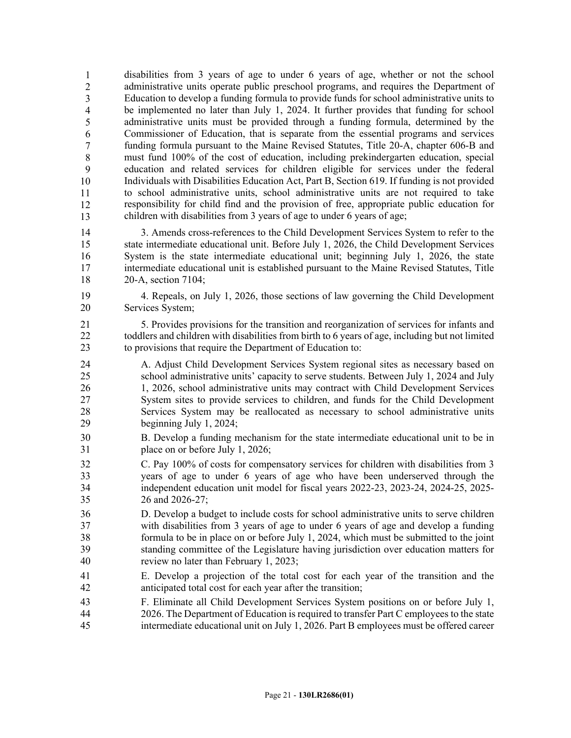disabilities from 3 years of age to under 6 years of age, whether or not the school administrative units operate public preschool programs, and requires the Department of 46 Education to develop a funding formula to provide funds for school administrative units to be implemented no later than July 1, 2024. It further provides that funding for school administrative units must be provided through a funding formula, determined by the 49 Commissioner of Education, that is separate from the essential programs and services 50 funding formula pursuant to the Maine Revised Statutes, Title 20-A, chapter 606-B and 51 must fund 100% of the cost of education, including prekindergarten education, special 52 education and related services for children eligible for services under the federal 53 Individuals with Disabilities Education Act, Part B, Section 619. If funding is not provided 54 to school administrative units, school administrative units are not required to take 55 responsibility for child find and the provision of free, appropriate public education for 56 children with disabilities from 3 years of age to under 6 years of age; 1 2 3 4 5 6 7 8 9 10 11 12 13

14 3. Amends cross-references to the Child Development Services System to refer to the 15 state intermediate educational unit. Before July 1, 2026, the Child Development Services 16 System is the state intermediate educational unit; beginning July 1, 2026, the state 17 intermediate educational unit is established pursuant to the Maine Revised Statutes, Title 18 20-A, section 7104;

19 4. Repeals, on July 1, 2026, those sections of law governing the Child Development 20 Services System;

21 5. Provides provisions for the transition and reorganization of services for infants and 22 toddlers and children with disabilities from birth to 6 years of age, including but not limited 23 to provisions that require the Department of Education to:

24 A. Adjust Child Development Services System regional sites as necessary based on 25 school administrative units' capacity to serve students. Between July 1, 2024 and July 26 1, 2026, school administrative units may contract with Child Development Services 27 System sites to provide services to children, and funds for the Child Development 28 Services System may be reallocated as necessary to school administrative units 29 beginning July 1, 2024;

30 B. Develop a funding mechanism for the state intermediate educational unit to be in 31 place on or before July 1, 2026;

32 C. Pay 100% of costs for compensatory services for children with disabilities from 3 33 years of age to under 6 years of age who have been underserved through the 34 independent education unit model for fiscal years 2022-23, 2023-24, 2024-25, 2025- 35 26 and 2026-27;

36 D. Develop a budget to include costs for school administrative units to serve children 37 with disabilities from 3 years of age to under 6 years of age and develop a funding 38 formula to be in place on or before July 1, 2024, which must be submitted to the joint 39 standing committee of the Legislature having jurisdiction over education matters for 40 review no later than February 1, 2023;

- 41 E. Develop a projection of the total cost for each year of the transition and the 42 anticipated total cost for each year after the transition;
- 43 F. Eliminate all Child Development Services System positions on or before July 1, 44 2026. The Department of Education is required to transfer Part C employees to the state 45 intermediate educational unit on July 1, 2026. Part B employees must be offered career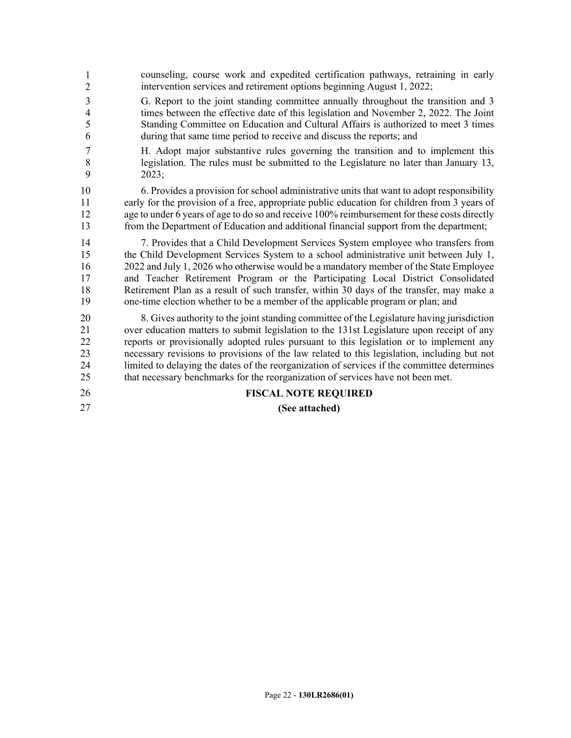counseling, course work and expedited certification pathways, retraining in early intervention services and retirement options beginning August 1, 2022; 3 G. Report to the joint standing committee annually throughout the transition and 3 4 times between the effective date of this legislation and November 2, 2022. The Joint 5 Standing Committee on Education and Cultural Affairs is authorized to meet 3 times 6 during that same time period to receive and discuss the reports; and 7 H. Adopt major substantive rules governing the transition and to implement this 8 legislation. The rules must be submitted to the Legislature no later than January 13, 9 2023; 10 6. Provides a provision for school administrative units that want to adopt responsibility 11 early for the provision of a free, appropriate public education for children from 3 years of 12 age to under 6 years of age to do so and receive 100% reimbursement for these costs directly 13 from the Department of Education and additional financial support from the department; 14 7. Provides that a Child Development Services System employee who transfers from 15 the Child Development Services System to a school administrative unit between July 1, 16 2022 and July 1, 2026 who otherwise would be a mandatory member of the State Employee 17 and Teacher Retirement Program or the Participating Local District Consolidated 18 Retirement Plan as a result of such transfer, within 30 days of the transfer, may make a 19 one-time election whether to be a member of the applicable program or plan; and 20 8. Gives authority to the joint standing committee of the Legislature having jurisdiction 21 over education matters to submit legislation to the 131st Legislature upon receipt of any 22 reports or provisionally adopted rules pursuant to this legislation or to implement any 23 necessary revisions to provisions of the law related to this legislation, including but not 24 limited to delaying the dates of the reorganization of services if the committee determines 25 that necessary benchmarks for the reorganization of services have not been met. 26 **FISCAL NOTE REQUIRED** 27 **(See attached)** 1 2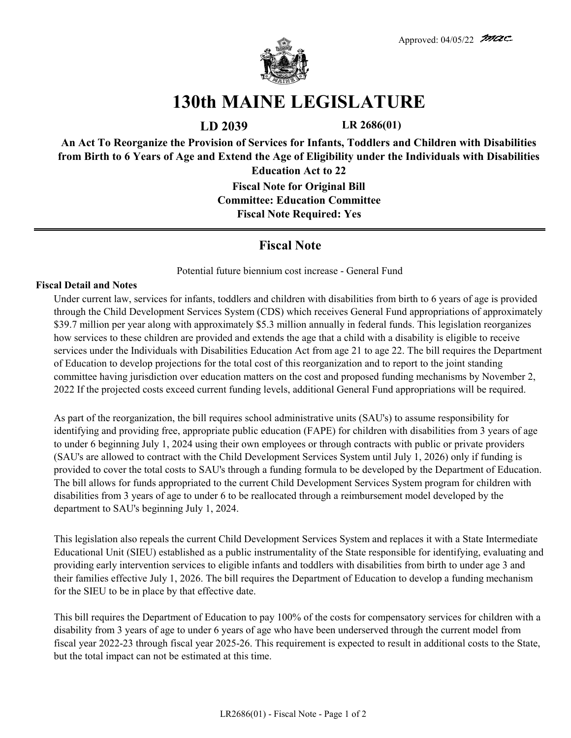

# **130th MAINE LEGISLATURE**

**LD 2039 LR 2686(01)**

**An Act To Reorganize the Provision of Services for Infants, Toddlers and Children with Disabilities from Birth to 6 Years of Age and Extend the Age of Eligibility under the Individuals with Disabilities Education Act to 22**

> **Fiscal Note for Original Bill Committee: Education Committee Fiscal Note Required: Yes**

## **Fiscal Note**

Potential future biennium cost increase - General Fund

#### **Fiscal Detail and Notes**

Under current law, services for infants, toddlers and children with disabilities from birth to 6 years of age is provided through the Child Development Services System (CDS) which receives General Fund appropriations of approximately \$39.7 million per year along with approximately \$5.3 million annually in federal funds. This legislation reorganizes how services to these children are provided and extends the age that a child with a disability is eligible to receive services under the Individuals with Disabilities Education Act from age 21 to age 22. The bill requires the Department of Education to develop projections for the total cost of this reorganization and to report to the joint standing committee having jurisdiction over education matters on the cost and proposed funding mechanisms by November 2, 2022 If the projected costs exceed current funding levels, additional General Fund appropriations will be required.

As part of the reorganization, the bill requires school administrative units (SAU's) to assume responsibility for identifying and providing free, appropriate public education (FAPE) for children with disabilities from 3 years of age to under 6 beginning July 1, 2024 using their own employees or through contracts with public or private providers (SAU's are allowed to contract with the Child Development Services System until July 1, 2026) only if funding is provided to cover the total costs to SAU's through a funding formula to be developed by the Department of Education. The bill allows for funds appropriated to the current Child Development Services System program for children with disabilities from 3 years of age to under 6 to be reallocated through a reimbursement model developed by the department to SAU's beginning July 1, 2024.

This legislation also repeals the current Child Development Services System and replaces it with a State Intermediate Educational Unit (SIEU) established as a public instrumentality of the State responsible for identifying, evaluating and providing early intervention services to eligible infants and toddlers with disabilities from birth to under age 3 and their families effective July 1, 2026. The bill requires the Department of Education to develop a funding mechanism for the SIEU to be in place by that effective date.

This bill requires the Department of Education to pay 100% of the costs for compensatory services for children with a disability from 3 years of age to under 6 years of age who have been underserved through the current model from fiscal year 2022-23 through fiscal year 2025-26. This requirement is expected to result in additional costs to the State, but the total impact can not be estimated at this time.